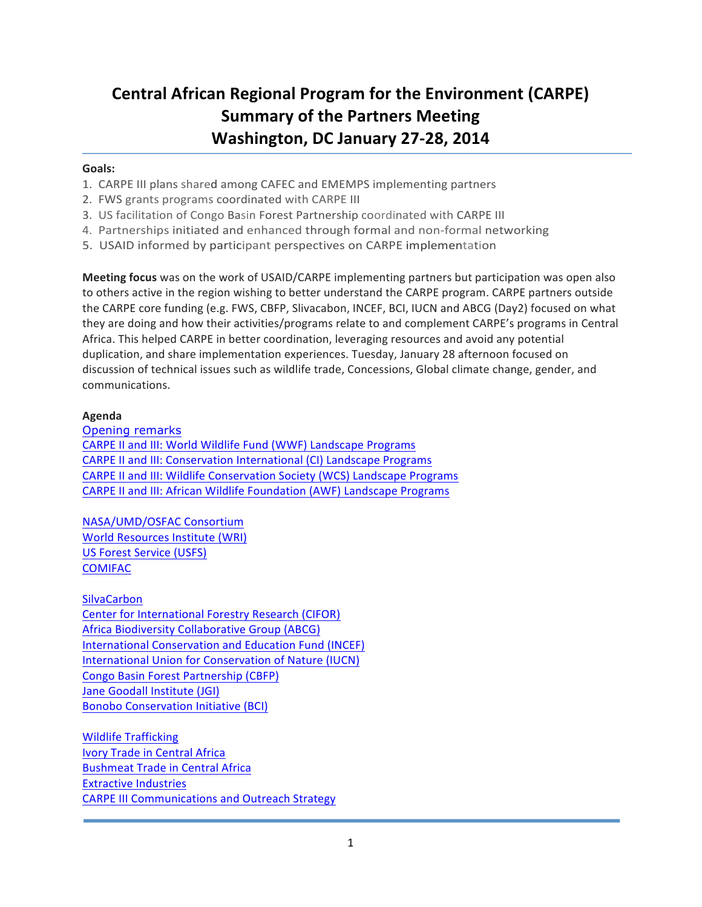# **Central African Regional Program for the Environment (CARPE) Summary of the Partners Meeting** Washington, DC January 27-28, 2014

# Goals:

- 1. CARPE III plans shared among CAFEC and EMEMPS implementing partners
- 2. FWS grants programs coordinated with CARPE III
- 3. US facilitation of Congo Basin Forest Partnership coordinated with CARPE III
- 4. Partnerships initiated and enhanced through formal and non-formal networking
- 5. USAID informed by participant perspectives on CARPE implementation

**Meeting focus** was on the work of USAID/CARPE implementing partners but participation was open also to others active in the region wishing to better understand the CARPE program. CARPE partners outside the CARPE core funding (e.g. FWS, CBFP, Slivacabon, INCEF, BCI, IUCN and ABCG (Day2) focused on what they are doing and how their activities/programs relate to and complement CARPE's programs in Central Africa. This helped CARPE in better coordination, leveraging resources and avoid any potential duplication, and share implementation experiences. Tuesday, January 28 afternoon focused on discussion of technical issues such as wildlife trade, Concessions, Global climate change, gender, and communications. 

# **Agenda**

Opening remarks

CARPE II and III: World Wildlife Fund (WWF) Landscape Programs CARPE II and III: Conservation International (CI) Landscape Programs CARPE II and III: Wildlife Conservation Society (WCS) Landscape Programs CARPE II and III: African Wildlife Foundation (AWF) Landscape Programs

NASA/UMD/OSFAC Consortium World Resources Institute (WRI) US Forest Service (USFS) **COMIFAC** 

**SilvaCarbon** Center for International Forestry Research (CIFOR) Africa Biodiversity Collaborative Group (ABCG) International Conservation and Education Fund (INCEF) International Union for Conservation of Nature (IUCN) Congo Basin Forest Partnership (CBFP) Jane Goodall Institute (JGI) **Bonobo Conservation Initiative (BCI)** 

Wildlife Trafficking **Ivory Trade in Central Africa Bushmeat Trade in Central Africa Extractive Industries CARPE III Communications and Outreach Strategy**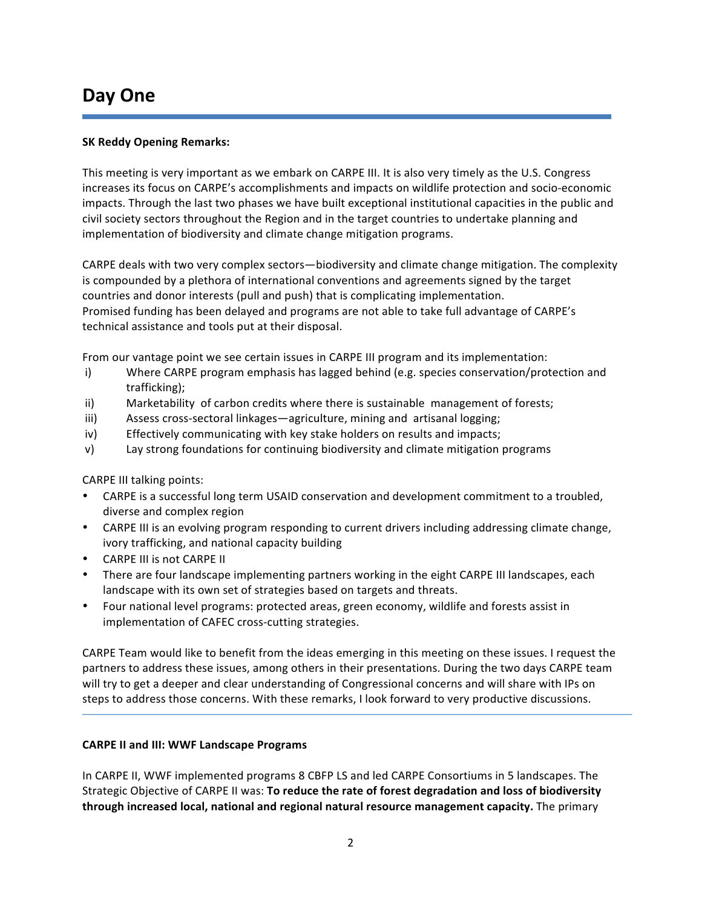# **Day One**

# **SK Reddy Opening Remarks:**

This meeting is very important as we embark on CARPE III. It is also very timely as the U.S. Congress increases its focus on CARPE's accomplishments and impacts on wildlife protection and socio-economic impacts. Through the last two phases we have built exceptional institutional capacities in the public and civil society sectors throughout the Region and in the target countries to undertake planning and implementation of biodiversity and climate change mitigation programs.

CARPE deals with two very complex sectors—biodiversity and climate change mitigation. The complexity is compounded by a plethora of international conventions and agreements signed by the target countries and donor interests (pull and push) that is complicating implementation. Promised funding has been delayed and programs are not able to take full advantage of CARPE's technical assistance and tools put at their disposal.

From our vantage point we see certain issues in CARPE III program and its implementation:

- i) Where CARPE program emphasis has lagged behind (e.g. species conservation/protection and trafficking);
- ii) Marketability of carbon credits where there is sustainable management of forests;
- iii) Assess cross-sectoral linkages—agriculture, mining and artisanal logging;
- iv) Effectively communicating with key stake holders on results and impacts;
- v) Lay strong foundations for continuing biodiversity and climate mitigation programs

CARPE III talking points:

- CARPE is a successful long term USAID conservation and development commitment to a troubled, diverse and complex region
- CARPE III is an evolving program responding to current drivers including addressing climate change, ivory trafficking, and national capacity building
- **CARPE III is not CARPE II**
- There are four landscape implementing partners working in the eight CARPE III landscapes, each landscape with its own set of strategies based on targets and threats.
- Four national level programs: protected areas, green economy, wildlife and forests assist in implementation of CAFEC cross-cutting strategies.

CARPE Team would like to benefit from the ideas emerging in this meeting on these issues. I request the partners to address these issues, among others in their presentations. During the two days CARPE team will try to get a deeper and clear understanding of Congressional concerns and will share with IPs on steps to address those concerns. With these remarks, I look forward to very productive discussions.

## **CARPE II and III: WWF Landscape Programs**

In CARPE II, WWF implemented programs 8 CBFP LS and led CARPE Consortiums in 5 landscapes. The Strategic Objective of CARPE II was: **To reduce the rate of forest degradation and loss of biodiversity through increased local, national and regional natural resource management capacity.** The primary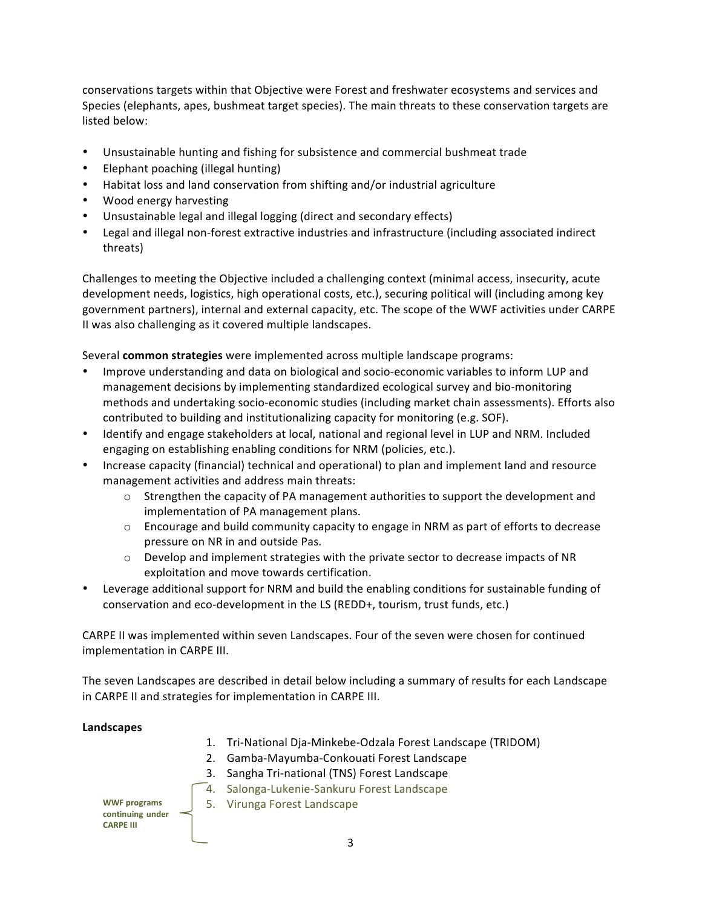conservations targets within that Objective were Forest and freshwater ecosystems and services and Species (elephants, apes, bushmeat target species). The main threats to these conservation targets are listed below:

- Unsustainable hunting and fishing for subsistence and commercial bushmeat trade
- Elephant poaching (illegal hunting)
- Habitat loss and land conservation from shifting and/or industrial agriculture
- Wood energy harvesting
- Unsustainable legal and illegal logging (direct and secondary effects)
- Legal and illegal non-forest extractive industries and infrastructure (including associated indirect threats)

Challenges to meeting the Objective included a challenging context (minimal access, insecurity, acute development needs, logistics, high operational costs, etc.), securing political will (including among key government partners), internal and external capacity, etc. The scope of the WWF activities under CARPE II was also challenging as it covered multiple landscapes.

Several **common strategies** were implemented across multiple landscape programs:

- Improve understanding and data on biological and socio-economic variables to inform LUP and management decisions by implementing standardized ecological survey and bio-monitoring methods and undertaking socio-economic studies (including market chain assessments). Efforts also contributed to building and institutionalizing capacity for monitoring (e.g. SOF).
- Identify and engage stakeholders at local, national and regional level in LUP and NRM. Included engaging on establishing enabling conditions for NRM (policies, etc.).
- Increase capacity (financial) technical and operational) to plan and implement land and resource management activities and address main threats:
	- $\circ$  Strengthen the capacity of PA management authorities to support the development and implementation of PA management plans.
	- $\circ$  Encourage and build community capacity to engage in NRM as part of efforts to decrease pressure on NR in and outside Pas.
	- $\circ$  Develop and implement strategies with the private sector to decrease impacts of NR exploitation and move towards certification.
- Leverage additional support for NRM and build the enabling conditions for sustainable funding of conservation and eco-development in the LS (REDD+, tourism, trust funds, etc.)

CARPE II was implemented within seven Landscapes. Four of the seven were chosen for continued implementation in CARPE III.

The seven Landscapes are described in detail below including a summary of results for each Landscape in CARPE II and strategies for implementation in CARPE III.

#### **Landscapes**

- 1. Tri-National Dja-Minkebe-Odzala Forest Landscape (TRIDOM)
- 2. Gamba-Mayumba-Conkouati Forest Landscape
- 3. Sangha Tri-national (TNS) Forest Landscape
- 4. Salonga-Lukenie-Sankuru Forest Landscape



**WWF** programs | 5. Virunga Forest Landscape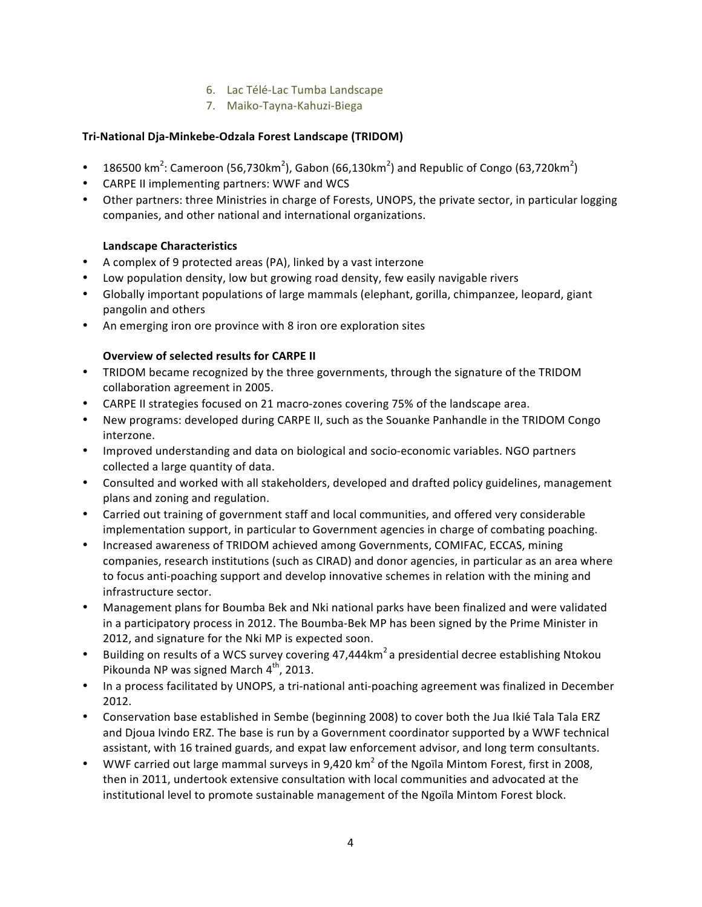# 6. Lac Télé-Lac Tumba Landscape

7. Maiko-Tayna-Kahuzi-Biega

# **Tri-National Dja-Minkebe-Odzala Forest Landscape (TRIDOM)**

- 186500 km<sup>2</sup>: Cameroon (56,730km<sup>2</sup>), Gabon (66,130km<sup>2</sup>) and Republic of Congo (63,720km<sup>2</sup>)
- CARPE II implementing partners: WWF and WCS
- Other partners: three Ministries in charge of Forests, UNOPS, the private sector, in particular logging companies, and other national and international organizations.

# **Landscape Characteristics**

- A complex of 9 protected areas (PA), linked by a vast interzone
- Low population density, low but growing road density, few easily navigable rivers
- Globally important populations of large mammals (elephant, gorilla, chimpanzee, leopard, giant pangolin and others
- An emerging iron ore province with 8 iron ore exploration sites

# **Overview of selected results for CARPE II**

- TRIDOM became recognized by the three governments, through the signature of the TRIDOM collaboration agreement in 2005.
- CARPE II strategies focused on 21 macro-zones covering 75% of the landscape area.
- New programs: developed during CARPE II, such as the Souanke Panhandle in the TRIDOM Congo interzone.
- Improved understanding and data on biological and socio-economic variables. NGO partners collected a large quantity of data.
- Consulted and worked with all stakeholders, developed and drafted policy guidelines, management plans and zoning and regulation.
- Carried out training of government staff and local communities, and offered very considerable implementation support, in particular to Government agencies in charge of combating poaching.
- Increased awareness of TRIDOM achieved among Governments, COMIFAC, ECCAS, mining companies, research institutions (such as CIRAD) and donor agencies, in particular as an area where to focus anti-poaching support and develop innovative schemes in relation with the mining and infrastructure sector.
- Management plans for Boumba Bek and Nki national parks have been finalized and were validated in a participatory process in 2012. The Boumba-Bek MP has been signed by the Prime Minister in 2012, and signature for the Nki MP is expected soon.
- Building on results of a WCS survey covering 47,444km<sup>2</sup> a presidential decree establishing Ntokou Pikounda NP was signed March  $4<sup>th</sup>$ , 2013.
- In a process facilitated by UNOPS, a tri-national anti-poaching agreement was finalized in December 2012.
- Conservation base established in Sembe (beginning 2008) to cover both the Jua Ikié Tala Tala ERZ and Djoua Ivindo ERZ. The base is run by a Government coordinator supported by a WWF technical assistant, with 16 trained guards, and expat law enforcement advisor, and long term consultants.
- WWF carried out large mammal surveys in 9,420 km<sup>2</sup> of the Ngoïla Mintom Forest, first in 2008, then in 2011, undertook extensive consultation with local communities and advocated at the institutional level to promote sustainable management of the Ngoïla Mintom Forest block.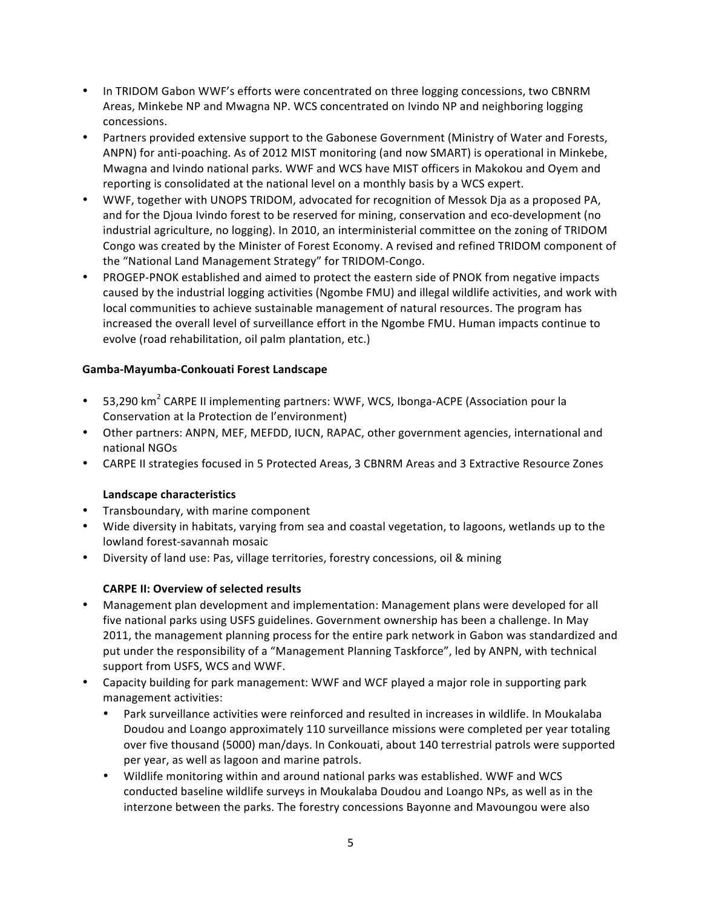- In TRIDOM Gabon WWF's efforts were concentrated on three logging concessions, two CBNRM Areas, Minkebe NP and Mwagna NP. WCS concentrated on Ivindo NP and neighboring logging concessions.
- Partners provided extensive support to the Gabonese Government (Ministry of Water and Forests, ANPN) for anti-poaching. As of 2012 MIST monitoring (and now SMART) is operational in Minkebe, Mwagna and Ivindo national parks. WWF and WCS have MIST officers in Makokou and Oyem and reporting is consolidated at the national level on a monthly basis by a WCS expert.
- WWF, together with UNOPS TRIDOM, advocated for recognition of Messok Dja as a proposed PA, and for the Djoua Ivindo forest to be reserved for mining, conservation and eco-development (no industrial agriculture, no logging). In 2010, an interministerial committee on the zoning of TRIDOM Congo was created by the Minister of Forest Economy. A revised and refined TRIDOM component of the "National Land Management Strategy" for TRIDOM-Congo.
- PROGEP-PNOK established and aimed to protect the eastern side of PNOK from negative impacts caused by the industrial logging activities (Ngombe FMU) and illegal wildlife activities, and work with local communities to achieve sustainable management of natural resources. The program has increased the overall level of surveillance effort in the Ngombe FMU. Human impacts continue to evolve (road rehabilitation, oil palm plantation, etc.)

# Gamba-Mayumba-Conkouati Forest Landscape

- 53,290 km<sup>2</sup> CARPE II implementing partners: WWF, WCS, Ibonga-ACPE (Association pour la Conservation at la Protection de l'environment)
- Other partners: ANPN, MEF, MEFDD, IUCN, RAPAC, other government agencies, international and national NGOs
- CARPE II strategies focused in 5 Protected Areas, 3 CBNRM Areas and 3 Extractive Resource Zones

# **Landscape characteristics**

- Transboundary, with marine component
- Wide diversity in habitats, varying from sea and coastal vegetation, to lagoons, wetlands up to the lowland forest-savannah mosaic
- Diversity of land use: Pas, village territories, forestry concessions, oil & mining

# **CARPE II: Overview of selected results**

- Management plan development and implementation: Management plans were developed for all five national parks using USFS guidelines. Government ownership has been a challenge. In May 2011, the management planning process for the entire park network in Gabon was standardized and put under the responsibility of a "Management Planning Taskforce", led by ANPN, with technical support from USFS, WCS and WWF.
- Capacity building for park management: WWF and WCF played a major role in supporting park management activities:
	- Park surveillance activities were reinforced and resulted in increases in wildlife. In Moukalaba Doudou and Loango approximately 110 surveillance missions were completed per year totaling over five thousand (5000) man/days. In Conkouati, about 140 terrestrial patrols were supported per year, as well as lagoon and marine patrols.
	- Wildlife monitoring within and around national parks was established. WWF and WCS conducted baseline wildlife surveys in Moukalaba Doudou and Loango NPs, as well as in the interzone between the parks. The forestry concessions Bayonne and Mavoungou were also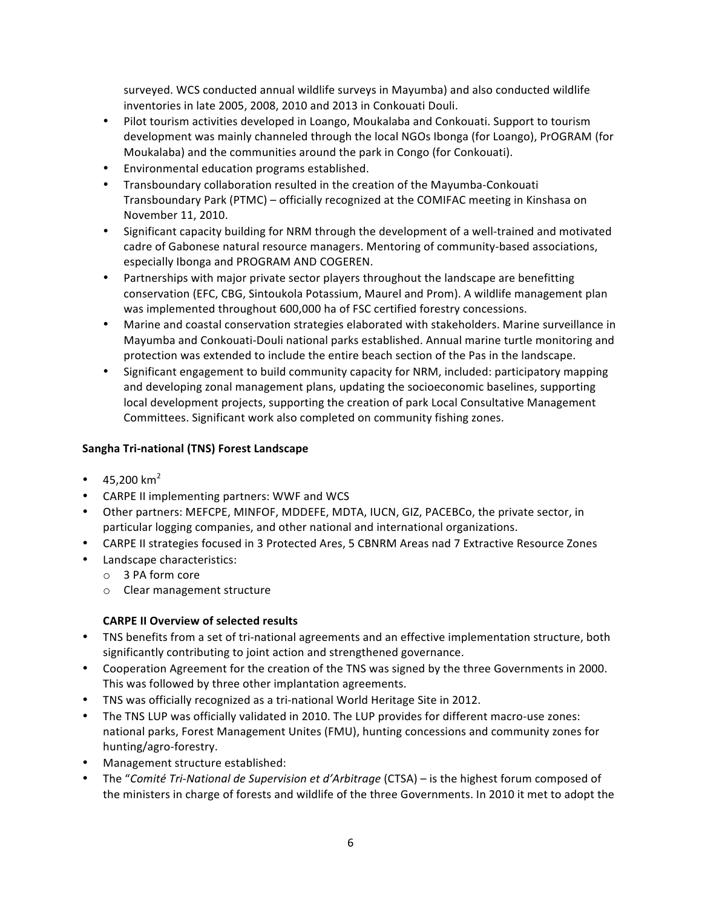surveyed. WCS conducted annual wildlife surveys in Mayumba) and also conducted wildlife inventories in late 2005, 2008, 2010 and 2013 in Conkouati Douli.

- Pilot tourism activities developed in Loango, Moukalaba and Conkouati. Support to tourism development was mainly channeled through the local NGOs Ibonga (for Loango), PrOGRAM (for Moukalaba) and the communities around the park in Congo (for Conkouati).
- Environmental education programs established.
- Transboundary collaboration resulted in the creation of the Mayumba-Conkouati Transboundary Park (PTMC) – officially recognized at the COMIFAC meeting in Kinshasa on November 11, 2010.
- Significant capacity building for NRM through the development of a well-trained and motivated cadre of Gabonese natural resource managers. Mentoring of community-based associations, especially Ibonga and PROGRAM AND COGEREN.
- Partnerships with major private sector players throughout the landscape are benefitting conservation (EFC, CBG, Sintoukola Potassium, Maurel and Prom). A wildlife management plan was implemented throughout 600,000 ha of FSC certified forestry concessions.
- Marine and coastal conservation strategies elaborated with stakeholders. Marine surveillance in Mayumba and Conkouati-Douli national parks established. Annual marine turtle monitoring and protection was extended to include the entire beach section of the Pas in the landscape.
- Significant engagement to build community capacity for NRM, included: participatory mapping and developing zonal management plans, updating the socioeconomic baselines, supporting local development projects, supporting the creation of park Local Consultative Management Committees. Significant work also completed on community fishing zones.

# **Sangha Tri-national (TNS) Forest Landscape**

- 45,200  $km^2$
- CARPE II implementing partners: WWF and WCS
- Other partners: MEFCPE, MINFOF, MDDEFE, MDTA, IUCN, GIZ, PACEBCo, the private sector, in particular logging companies, and other national and international organizations.
- CARPE II strategies focused in 3 Protected Ares, 5 CBNRM Areas nad 7 Extractive Resource Zones
- Landscape characteristics:
	- o 3 PA form core
	- o Clear management structure

# **CARPE II Overview of selected results**

- TNS benefits from a set of tri-national agreements and an effective implementation structure, both significantly contributing to joint action and strengthened governance.
- Cooperation Agreement for the creation of the TNS was signed by the three Governments in 2000. This was followed by three other implantation agreements.
- TNS was officially recognized as a tri-national World Heritage Site in 2012.
- The TNS LUP was officially validated in 2010. The LUP provides for different macro-use zones: national parks, Forest Management Unites (FMU), hunting concessions and community zones for hunting/agro-forestry.
- Management structure established:
- The "Comité Tri-National de Supervision et d'Arbitrage (CTSA) is the highest forum composed of the ministers in charge of forests and wildlife of the three Governments. In 2010 it met to adopt the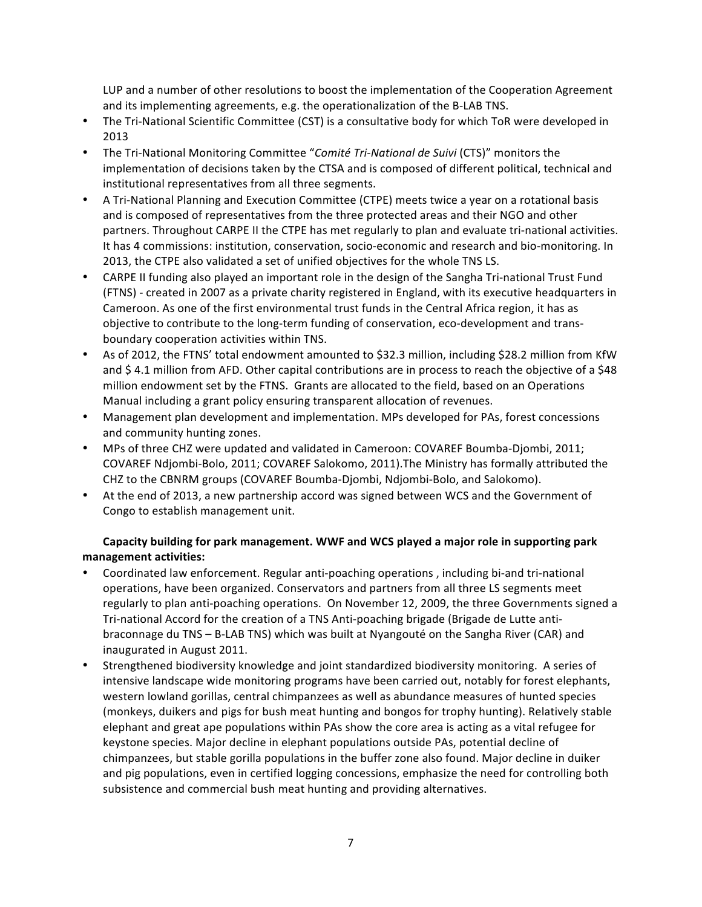LUP and a number of other resolutions to boost the implementation of the Cooperation Agreement and its implementing agreements, e.g. the operationalization of the B-LAB TNS.

- The Tri-National Scientific Committee (CST) is a consultative body for which ToR were developed in 2013
- The Tri-National Monitoring Committee "Comité Tri-National de Suivi (CTS)" monitors the implementation of decisions taken by the CTSA and is composed of different political, technical and institutional representatives from all three segments.
- A Tri-National Planning and Execution Committee (CTPE) meets twice a year on a rotational basis and is composed of representatives from the three protected areas and their NGO and other partners. Throughout CARPE II the CTPE has met regularly to plan and evaluate tri-national activities. It has 4 commissions: institution, conservation, socio-economic and research and bio-monitoring. In 2013, the CTPE also validated a set of unified objectives for the whole TNS LS.
- CARPE II funding also played an important role in the design of the Sangha Tri-national Trust Fund (FTNS) - created in 2007 as a private charity registered in England, with its executive headquarters in Cameroon. As one of the first environmental trust funds in the Central Africa region, it has as objective to contribute to the long-term funding of conservation, eco-development and transboundary cooperation activities within TNS.
- As of 2012, the FTNS' total endowment amounted to \$32.3 million, including \$28.2 million from KfW and \$ 4.1 million from AFD. Other capital contributions are in process to reach the objective of a \$48 million endowment set by the FTNS. Grants are allocated to the field, based on an Operations Manual including a grant policy ensuring transparent allocation of revenues.
- Management plan development and implementation. MPs developed for PAs, forest concessions and community hunting zones.
- MPs of three CHZ were updated and validated in Cameroon: COVAREF Boumba-Djombi, 2011; COVAREF Ndjombi-Bolo, 2011; COVAREF Salokomo, 2011).The Ministry has formally attributed the CHZ to the CBNRM groups (COVAREF Boumba-Djombi, Ndjombi-Bolo, and Salokomo).
- At the end of 2013, a new partnership accord was signed between WCS and the Government of Congo to establish management unit.

# Capacity building for park management. WWF and WCS played a major role in supporting park **management activities:**

- Coordinated law enforcement. Regular anti-poaching operations, including bi-and tri-national operations, have been organized. Conservators and partners from all three LS segments meet regularly to plan anti-poaching operations. On November 12, 2009, the three Governments signed a Tri-national Accord for the creation of a TNS Anti-poaching brigade (Brigade de Lutte antibraconnage du TNS – B-LAB TNS) which was built at Nyangouté on the Sangha River (CAR) and inaugurated in August 2011.
- Strengthened biodiversity knowledge and joint standardized biodiversity monitoring. A series of intensive landscape wide monitoring programs have been carried out, notably for forest elephants, western lowland gorillas, central chimpanzees as well as abundance measures of hunted species (monkeys, duikers and pigs for bush meat hunting and bongos for trophy hunting). Relatively stable elephant and great ape populations within PAs show the core area is acting as a vital refugee for keystone species. Major decline in elephant populations outside PAs, potential decline of chimpanzees, but stable gorilla populations in the buffer zone also found. Major decline in duiker and pig populations, even in certified logging concessions, emphasize the need for controlling both subsistence and commercial bush meat hunting and providing alternatives.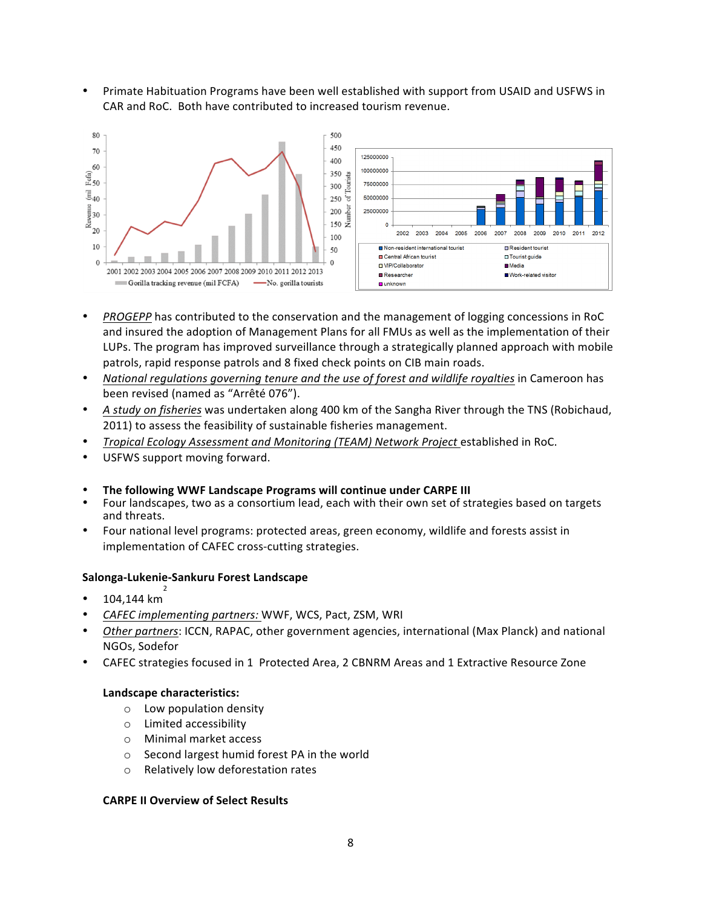Primate Habituation Programs have been well established with support from USAID and USFWS in CAR and RoC. Both have contributed to increased tourism revenue.



- *PROGEPP* has contributed to the conservation and the management of logging concessions in RoC and insured the adoption of Management Plans for all FMUs as well as the implementation of their LUPs. The program has improved surveillance through a strategically planned approach with mobile patrols, rapid response patrols and 8 fixed check points on CIB main roads.
- National regulations governing tenure and the use of forest and wildlife royalties in Cameroon has been revised (named as "Arrêté 076").
- A study on fisheries was undertaken along 400 km of the Sangha River through the TNS (Robichaud, 2011) to assess the feasibility of sustainable fisheries management.
- *Tropical Ecology Assessment and Monitoring (TEAM) Network Project* established in RoC.
- USFWS support moving forward.
- The following WWF Landscape Programs will continue under CARPE III
- Four landscapes, two as a consortium lead, each with their own set of strategies based on targets and threats.
- Four national level programs: protected areas, green economy, wildlife and forests assist in implementation of CAFEC cross-cutting strategies.

#### **Salonga-Lukenie-Sankuru Forest Landscape**

- 104,144 km<sup>2</sup>
- *CAFEC implementing partners:* WWF, WCS, Pact, ZSM, WRI
- *Other partners*: ICCN, RAPAC, other government agencies, international (Max Planck) and national NGOs, Sodefor
- CAFEC strategies focused in 1 Protected Area, 2 CBNRM Areas and 1 Extractive Resource Zone

#### Landscape characteristics:

- $\circ$  Low population density
- o Limited accessibility
- o Minimal market access
- o Second largest humid forest PA in the world
- $\circ$  Relatively low deforestation rates

#### **CARPE II Overview of Select Results**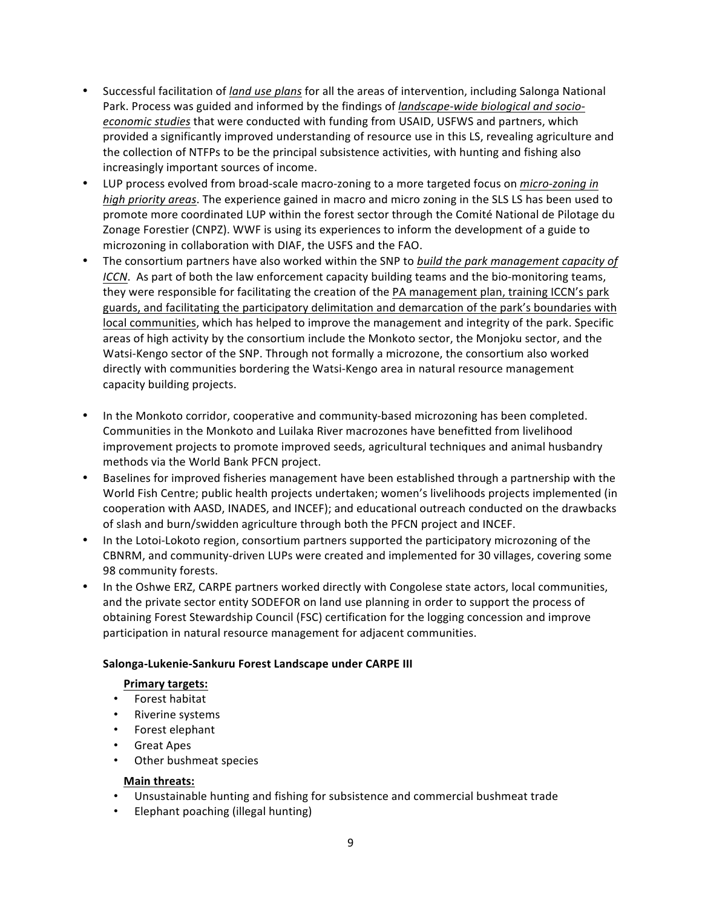- Successful facilitation of *land use plans* for all the areas of intervention, including Salonga National Park. Process was guided and informed by the findings of *landscape-wide biological and socioeconomic studies* that were conducted with funding from USAID, USFWS and partners, which provided a significantly improved understanding of resource use in this LS, revealing agriculture and the collection of NTFPs to be the principal subsistence activities, with hunting and fishing also increasingly important sources of income.
- LUP process evolved from broad-scale macro-zoning to a more targeted focus on *micro-zoning in high priority areas*. The experience gained in macro and micro zoning in the SLS LS has been used to promote more coordinated LUP within the forest sector through the Comité National de Pilotage du Zonage Forestier (CNPZ). WWF is using its experiences to inform the development of a guide to microzoning in collaboration with DIAF, the USFS and the FAO.
- The consortium partners have also worked within the SNP to *build the park management capacity of ICCN*. As part of both the law enforcement capacity building teams and the bio-monitoring teams, they were responsible for facilitating the creation of the PA management plan, training ICCN's park guards, and facilitating the participatory delimitation and demarcation of the park's boundaries with local communities, which has helped to improve the management and integrity of the park. Specific areas of high activity by the consortium include the Monkoto sector, the Monjoku sector, and the Watsi-Kengo sector of the SNP. Through not formally a microzone, the consortium also worked directly with communities bordering the Watsi-Kengo area in natural resource management capacity building projects.
- In the Monkoto corridor, cooperative and community-based microzoning has been completed. Communities in the Monkoto and Luilaka River macrozones have benefitted from livelihood improvement projects to promote improved seeds, agricultural techniques and animal husbandry methods via the World Bank PFCN project.
- Baselines for improved fisheries management have been established through a partnership with the World Fish Centre; public health projects undertaken; women's livelihoods projects implemented (in cooperation with AASD, INADES, and INCEF); and educational outreach conducted on the drawbacks of slash and burn/swidden agriculture through both the PFCN project and INCEF.
- In the Lotoi-Lokoto region, consortium partners supported the participatory microzoning of the CBNRM, and community-driven LUPs were created and implemented for 30 villages, covering some 98 community forests.
- In the Oshwe ERZ, CARPE partners worked directly with Congolese state actors, local communities, and the private sector entity SODEFOR on land use planning in order to support the process of obtaining Forest Stewardship Council (FSC) certification for the logging concession and improve participation in natural resource management for adjacent communities.

# **Salonga-Lukenie-Sankuru Forest Landscape under CARPE III**

# **Primary targets:**

- Forest habitat
- Riverine systems
- Forest elephant
- Great Apes
- Other bushmeat species

# **Main threats:**

- Unsustainable hunting and fishing for subsistence and commercial bushmeat trade
- Elephant poaching (illegal hunting)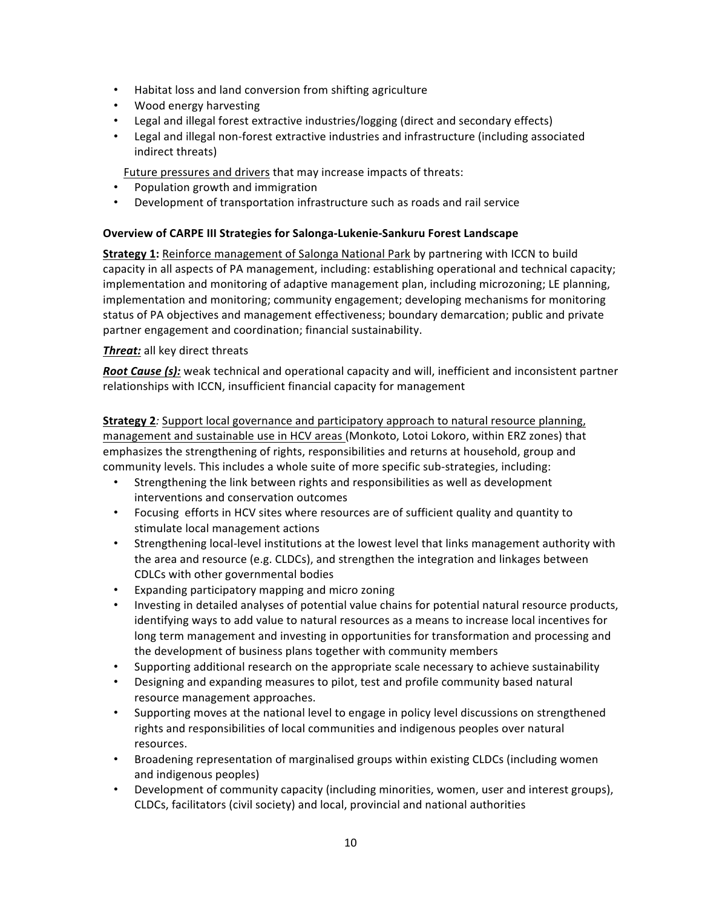- Habitat loss and land conversion from shifting agriculture
- Wood energy harvesting
- Legal and illegal forest extractive industries/logging (direct and secondary effects)
- Legal and illegal non-forest extractive industries and infrastructure (including associated indirect threats)

Future pressures and drivers that may increase impacts of threats:

- Population growth and immigration
- Development of transportation infrastructure such as roads and rail service

# **Overview of CARPE III Strategies for Salonga-Lukenie-Sankuru Forest Landscape**

**Strategy 1:** Reinforce management of Salonga National Park by partnering with ICCN to build capacity in all aspects of PA management, including: establishing operational and technical capacity; implementation and monitoring of adaptive management plan, including microzoning; LE planning, implementation and monitoring; community engagement; developing mechanisms for monitoring status of PA objectives and management effectiveness; boundary demarcation; public and private partner engagement and coordination; financial sustainability.

# **Threat:** all key direct threats

*Root Cause (s):* weak technical and operational capacity and will, inefficient and inconsistent partner relationships with ICCN, insufficient financial capacity for management

**Strategy 2***:* Support local governance and participatory approach to natural resource planning, management and sustainable use in HCV areas (Monkoto, Lotoi Lokoro, within ERZ zones) that emphasizes the strengthening of rights, responsibilities and returns at household, group and community levels. This includes a whole suite of more specific sub-strategies, including:

- Strengthening the link between rights and responsibilities as well as development interventions and conservation outcomes
- Focusing efforts in HCV sites where resources are of sufficient quality and quantity to stimulate local management actions
- Strengthening local-level institutions at the lowest level that links management authority with the area and resource (e.g. CLDCs), and strengthen the integration and linkages between CDLCs with other governmental bodies
- Expanding participatory mapping and micro zoning
- Investing in detailed analyses of potential value chains for potential natural resource products, identifying ways to add value to natural resources as a means to increase local incentives for long term management and investing in opportunities for transformation and processing and the development of business plans together with community members
- Supporting additional research on the appropriate scale necessary to achieve sustainability
- Designing and expanding measures to pilot, test and profile community based natural resource management approaches.
- Supporting moves at the national level to engage in policy level discussions on strengthened rights and responsibilities of local communities and indigenous peoples over natural resources.
- Broadening representation of marginalised groups within existing CLDCs (including women and indigenous peoples)
- Development of community capacity (including minorities, women, user and interest groups), CLDCs, facilitators (civil society) and local, provincial and national authorities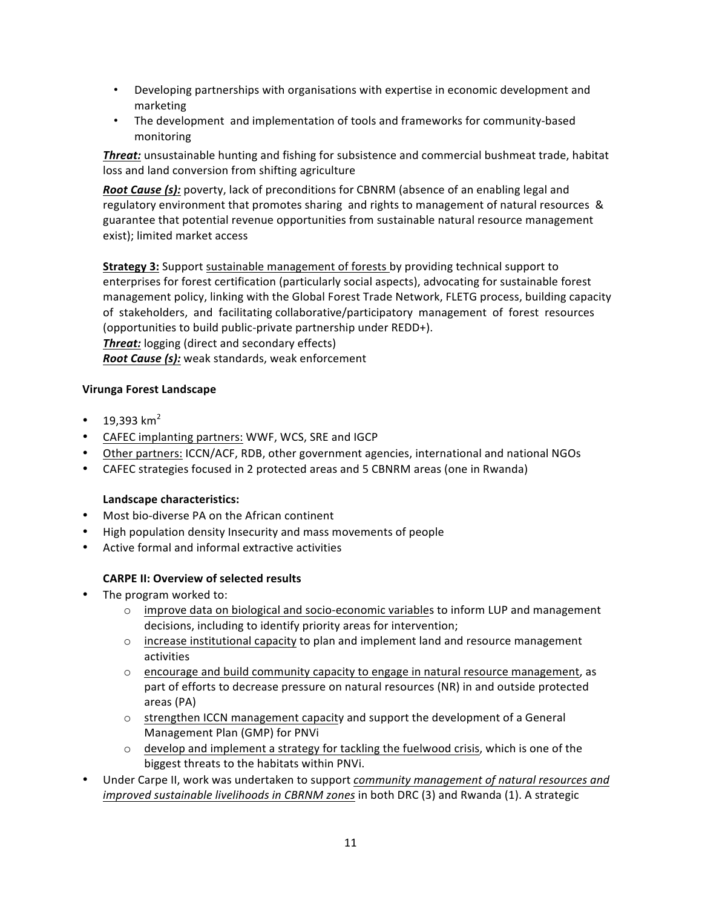- Developing partnerships with organisations with expertise in economic development and marketing
- The development and implementation of tools and frameworks for community-based monitoring

**Threat:** unsustainable hunting and fishing for subsistence and commercial bushmeat trade, habitat loss and land conversion from shifting agriculture

**Root Cause (s):** poverty, lack of preconditions for CBNRM (absence of an enabling legal and regulatory environment that promotes sharing and rights to management of natural resources & guarantee that potential revenue opportunities from sustainable natural resource management exist); limited market access

**Strategy 3:** Support sustainable management of forests by providing technical support to enterprises for forest certification (particularly social aspects), advocating for sustainable forest management policy, linking with the Global Forest Trade Network, FLETG process, building capacity of stakeholders, and facilitating collaborative/participatory management of forest resources (opportunities to build public-private partnership under REDD+). **Threat:** logging (direct and secondary effects) **Root Cause (s):** weak standards, weak enforcement

# **Virunga Forest Landscape**

- 19.393  $km^2$
- CAFEC implanting partners: WWF, WCS, SRE and IGCP
- Other partners: ICCN/ACF, RDB, other government agencies, international and national NGOs
- CAFEC strategies focused in 2 protected areas and 5 CBNRM areas (one in Rwanda)

# Landscape characteristics:

- Most bio-diverse PA on the African continent
- High population density Insecurity and mass movements of people
- Active formal and informal extractive activities

# **CARPE II: Overview of selected results**

- The program worked to:
	- $\circ$  improve data on biological and socio-economic variables to inform LUP and management decisions, including to identify priority areas for intervention;
	- $\circ$  increase institutional capacity to plan and implement land and resource management activities
	- $\circ$  encourage and build community capacity to engage in natural resource management, as part of efforts to decrease pressure on natural resources (NR) in and outside protected areas (PA)
	- $\circ$  strengthen ICCN management capacity and support the development of a General Management Plan (GMP) for PNVi
	- $\circ$  develop and implement a strategy for tackling the fuelwood crisis, which is one of the biggest threats to the habitats within PNVi.
- Under Carpe II, work was undertaken to support *community management of natural resources and improved sustainable livelihoods in CBRNM zones* in both DRC (3) and Rwanda (1). A strategic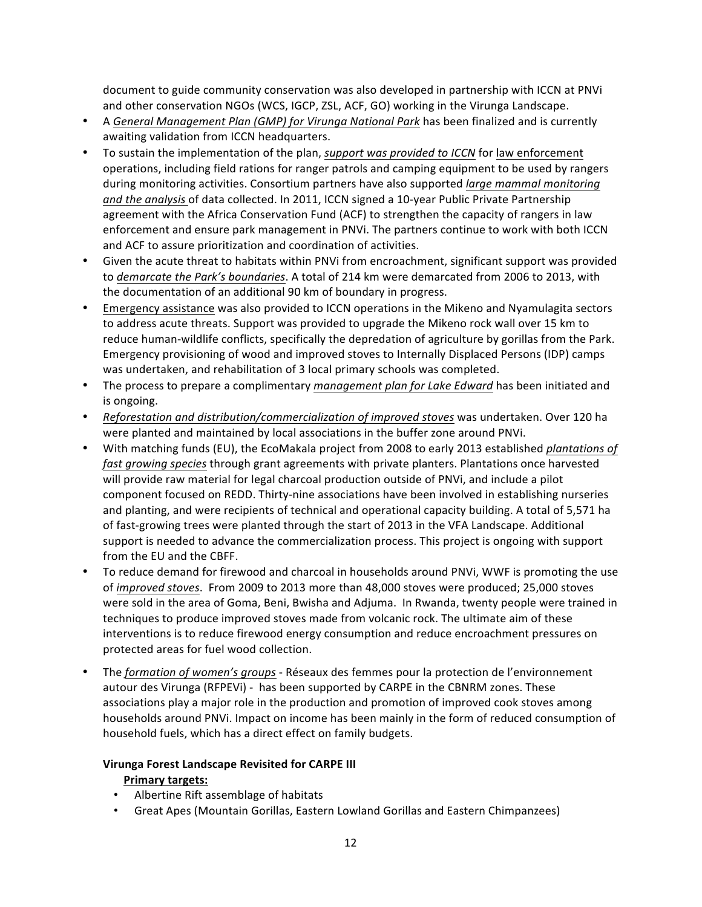document to guide community conservation was also developed in partnership with ICCN at PNVi and other conservation NGOs (WCS, IGCP, ZSL, ACF, GO) working in the Virunga Landscape.

- A *General Management Plan (GMP) for Virunga National Park* has been finalized and is currently awaiting validation from ICCN headquarters.
- To sustain the implementation of the plan, *support was provided to ICCN* for law enforcement operations, including field rations for ranger patrols and camping equipment to be used by rangers during monitoring activities. Consortium partners have also supported *large mammal monitoring* and the analysis of data collected. In 2011, ICCN signed a 10-year Public Private Partnership agreement with the Africa Conservation Fund (ACF) to strengthen the capacity of rangers in law enforcement and ensure park management in PNVi. The partners continue to work with both ICCN and ACF to assure prioritization and coordination of activities.
- Given the acute threat to habitats within PNVi from encroachment, significant support was provided to *demarcate the Park's boundaries*. A total of 214 km were demarcated from 2006 to 2013, with the documentation of an additional 90 km of boundary in progress.
- Emergency assistance was also provided to ICCN operations in the Mikeno and Nyamulagita sectors to address acute threats. Support was provided to upgrade the Mikeno rock wall over 15 km to reduce human-wildlife conflicts, specifically the depredation of agriculture by gorillas from the Park. Emergency provisioning of wood and improved stoves to Internally Displaced Persons (IDP) camps was undertaken, and rehabilitation of 3 local primary schools was completed.
- The process to prepare a complimentary *management plan for Lake Edward* has been initiated and is ongoing.
- *Reforestation and distribution/commercialization of improved stoves* was undertaken. Over 120 ha were planted and maintained by local associations in the buffer zone around PNVi.
- With matching funds (EU), the EcoMakala project from 2008 to early 2013 established *plantations of fast growing species* through grant agreements with private planters. Plantations once harvested will provide raw material for legal charcoal production outside of PNVi, and include a pilot component focused on REDD. Thirty-nine associations have been involved in establishing nurseries and planting, and were recipients of technical and operational capacity building. A total of 5,571 ha of fast-growing trees were planted through the start of 2013 in the VFA Landscape. Additional support is needed to advance the commercialization process. This project is ongoing with support from the EU and the CBFF.
- To reduce demand for firewood and charcoal in households around PNVi, WWF is promoting the use of *improved* stoves. From 2009 to 2013 more than 48,000 stoves were produced; 25,000 stoves were sold in the area of Goma, Beni, Bwisha and Adjuma. In Rwanda, twenty people were trained in techniques to produce improved stoves made from volcanic rock. The ultimate aim of these interventions is to reduce firewood energy consumption and reduce encroachment pressures on protected areas for fuel wood collection.
- The *formation of women's groups* Réseaux des femmes pour la protection de l'environnement autour des Virunga (RFPEVi) - has been supported by CARPE in the CBNRM zones. These associations play a major role in the production and promotion of improved cook stoves among households around PNVi. Impact on income has been mainly in the form of reduced consumption of household fuels, which has a direct effect on family budgets.

# **Virunga Forest Landscape Revisited for CARPE III Primary targets:**

- Albertine Rift assemblage of habitats
- Great Apes (Mountain Gorillas, Eastern Lowland Gorillas and Eastern Chimpanzees)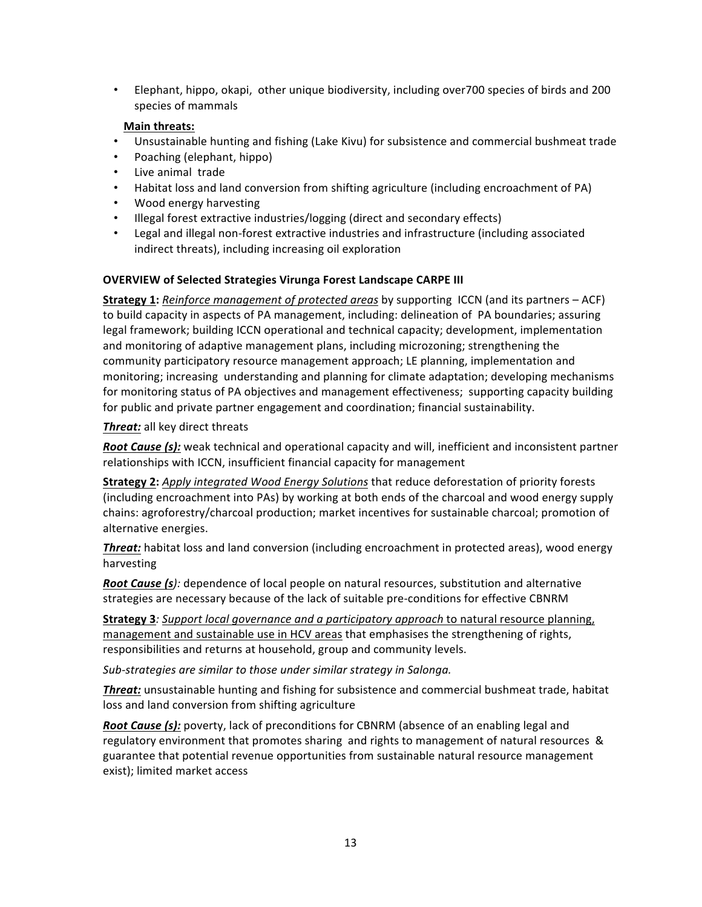Elephant, hippo, okapi, other unique biodiversity, including over700 species of birds and 200 species of mammals

# **Main threats:**

- Unsustainable hunting and fishing (Lake Kivu) for subsistence and commercial bushmeat trade
- Poaching (elephant, hippo)
- Live animal trade
- Habitat loss and land conversion from shifting agriculture (including encroachment of PA)
- Wood energy harvesting
- Illegal forest extractive industries/logging (direct and secondary effects)
- Legal and illegal non-forest extractive industries and infrastructure (including associated indirect threats), including increasing oil exploration

# **OVERVIEW of Selected Strategies Virunga Forest Landscape CARPE III**

**Strategy 1:** *Reinforce management of protected areas* by supporting ICCN (and its partners – ACF) to build capacity in aspects of PA management, including: delineation of PA boundaries; assuring legal framework; building ICCN operational and technical capacity; development, implementation and monitoring of adaptive management plans, including microzoning; strengthening the community participatory resource management approach; LE planning, implementation and monitoring; increasing understanding and planning for climate adaptation; developing mechanisms for monitoring status of PA objectives and management effectiveness; supporting capacity building for public and private partner engagement and coordination; financial sustainability.

# **Threat:** all key direct threats

*Root Cause (s):* weak technical and operational capacity and will, inefficient and inconsistent partner relationships with ICCN, insufficient financial capacity for management

**Strategy 2:** Apply integrated Wood Energy Solutions that reduce deforestation of priority forests (including encroachment into PAs) by working at both ends of the charcoal and wood energy supply chains: agroforestry/charcoal production; market incentives for sustainable charcoal; promotion of alternative energies.

**Threat:** habitat loss and land conversion (including encroachment in protected areas), wood energy harvesting 

*Root Cause (s):* dependence of local people on natural resources, substitution and alternative strategies are necessary because of the lack of suitable pre-conditions for effective CBNRM

**Strategy 3***:* Support local governance and a participatory approach to natural resource planning, management and sustainable use in HCV areas that emphasises the strengthening of rights, responsibilities and returns at household, group and community levels.

*Sub-strategies are similar to those under similar strategy in Salonga.* 

**Threat:** unsustainable hunting and fishing for subsistence and commercial bushmeat trade, habitat loss and land conversion from shifting agriculture

**Root Cause (s):** poverty, lack of preconditions for CBNRM (absence of an enabling legal and regulatory environment that promotes sharing and rights to management of natural resources & guarantee that potential revenue opportunities from sustainable natural resource management exist); limited market access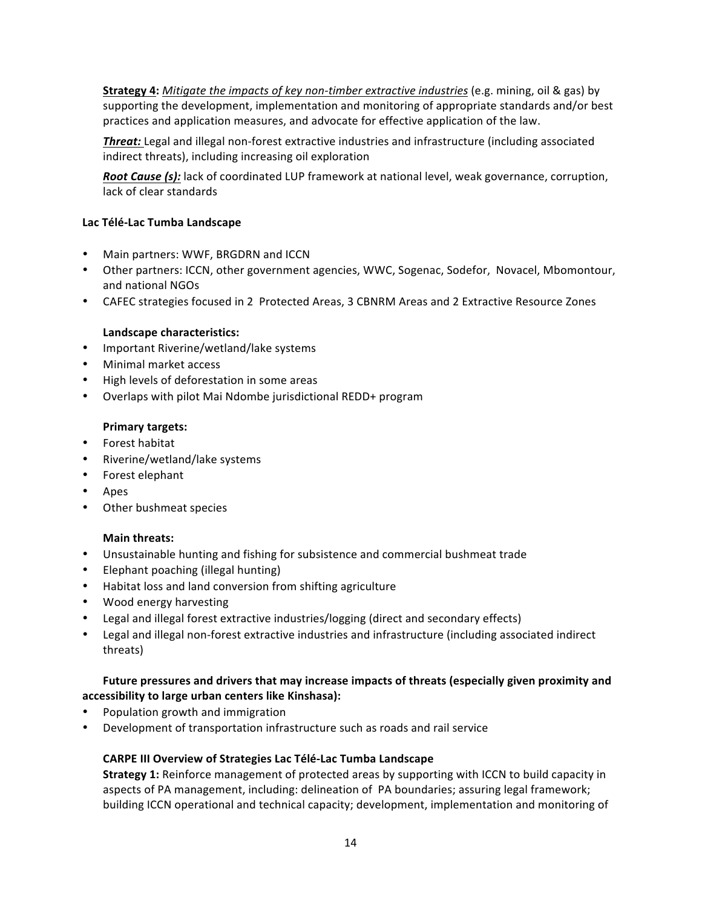**Strategy 4:** *Mitigate the impacts of key non-timber extractive industries* (e.g. mining, oil & gas) by supporting the development, implementation and monitoring of appropriate standards and/or best practices and application measures, and advocate for effective application of the law.

**Threat:** Legal and illegal non-forest extractive industries and infrastructure (including associated indirect threats), including increasing oil exploration

*Root Cause (s):* lack of coordinated LUP framework at national level, weak governance, corruption, lack of clear standards

# **Lac Télé-Lac Tumba Landscape**

- Main partners: WWF, BRGDRN and ICCN
- Other partners: ICCN, other government agencies, WWC, Sogenac, Sodefor, Novacel, Mbomontour, and national NGOs
- CAFEC strategies focused in 2 Protected Areas, 3 CBNRM Areas and 2 Extractive Resource Zones

# Landscape characteristics:

- Important Riverine/wetland/lake systems
- Minimal market access
- High levels of deforestation in some areas
- Overlaps with pilot Mai Ndombe jurisdictional REDD+ program

# **Primary targets:**

- Forest habitat
- Riverine/wetland/lake systems
- Forest elephant
- Apes
- Other bushmeat species

# **Main threats:**

- Unsustainable hunting and fishing for subsistence and commercial bushmeat trade
- Elephant poaching (illegal hunting)
- Habitat loss and land conversion from shifting agriculture
- Wood energy harvesting
- Legal and illegal forest extractive industries/logging (direct and secondary effects)
- Legal and illegal non-forest extractive industries and infrastructure (including associated indirect threats)

# Future pressures and drivers that may increase impacts of threats (especially given proximity and accessibility to large urban centers like Kinshasa):

- Population growth and immigration
- Development of transportation infrastructure such as roads and rail service

# **CARPE III Overview of Strategies Lac Télé-Lac Tumba Landscape**

**Strategy 1:** Reinforce management of protected areas by supporting with ICCN to build capacity in aspects of PA management, including: delineation of PA boundaries; assuring legal framework; building ICCN operational and technical capacity; development, implementation and monitoring of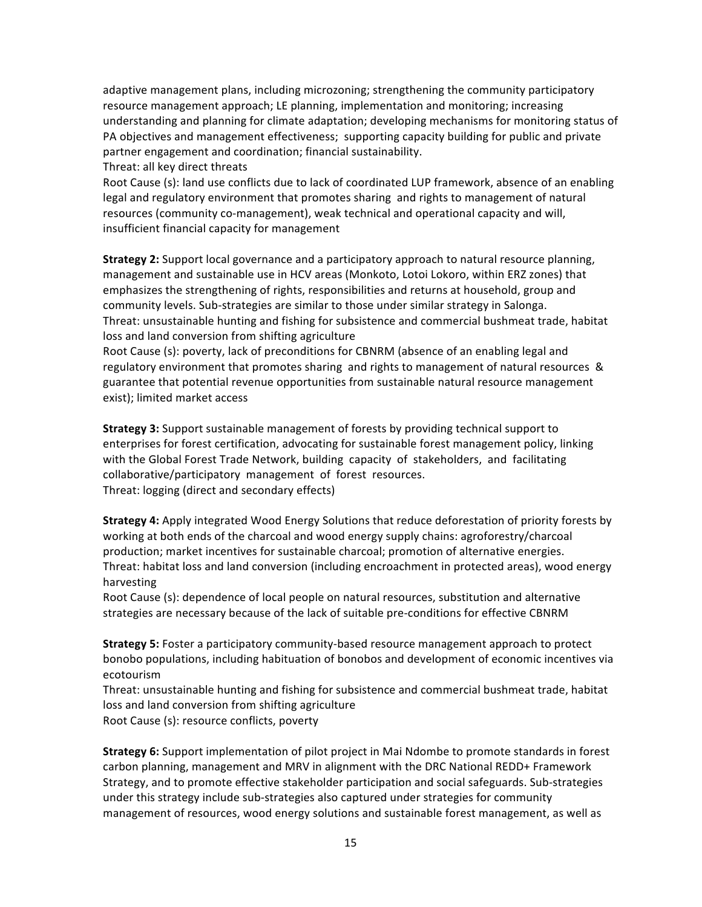adaptive management plans, including microzoning; strengthening the community participatory resource management approach; LE planning, implementation and monitoring; increasing understanding and planning for climate adaptation; developing mechanisms for monitoring status of PA objectives and management effectiveness; supporting capacity building for public and private partner engagement and coordination; financial sustainability.

Threat: all key direct threats

Root Cause (s): land use conflicts due to lack of coordinated LUP framework, absence of an enabling legal and regulatory environment that promotes sharing and rights to management of natural resources (community co-management), weak technical and operational capacity and will, insufficient financial capacity for management

**Strategy 2:** Support local governance and a participatory approach to natural resource planning, management and sustainable use in HCV areas (Monkoto, Lotoi Lokoro, within ERZ zones) that emphasizes the strengthening of rights, responsibilities and returns at household, group and community levels. Sub-strategies are similar to those under similar strategy in Salonga. Threat: unsustainable hunting and fishing for subsistence and commercial bushmeat trade, habitat loss and land conversion from shifting agriculture

Root Cause (s): poverty, lack of preconditions for CBNRM (absence of an enabling legal and regulatory environment that promotes sharing and rights to management of natural resources & guarantee that potential revenue opportunities from sustainable natural resource management exist); limited market access

**Strategy 3:** Support sustainable management of forests by providing technical support to enterprises for forest certification, advocating for sustainable forest management policy, linking with the Global Forest Trade Network, building capacity of stakeholders, and facilitating collaborative/participatory management of forest resources. Threat: logging (direct and secondary effects)

**Strategy 4:** Apply integrated Wood Energy Solutions that reduce deforestation of priority forests by working at both ends of the charcoal and wood energy supply chains: agroforestry/charcoal production; market incentives for sustainable charcoal; promotion of alternative energies. Threat: habitat loss and land conversion (including encroachment in protected areas), wood energy harvesting 

Root Cause (s): dependence of local people on natural resources, substitution and alternative strategies are necessary because of the lack of suitable pre-conditions for effective CBNRM

**Strategy 5:** Foster a participatory community-based resource management approach to protect bonobo populations, including habituation of bonobos and development of economic incentives via ecotourism 

Threat: unsustainable hunting and fishing for subsistence and commercial bushmeat trade, habitat loss and land conversion from shifting agriculture Root Cause (s): resource conflicts, poverty

**Strategy 6:** Support implementation of pilot project in Mai Ndombe to promote standards in forest carbon planning, management and MRV in alignment with the DRC National REDD+ Framework Strategy, and to promote effective stakeholder participation and social safeguards. Sub-strategies under this strategy include sub-strategies also captured under strategies for community management of resources, wood energy solutions and sustainable forest management, as well as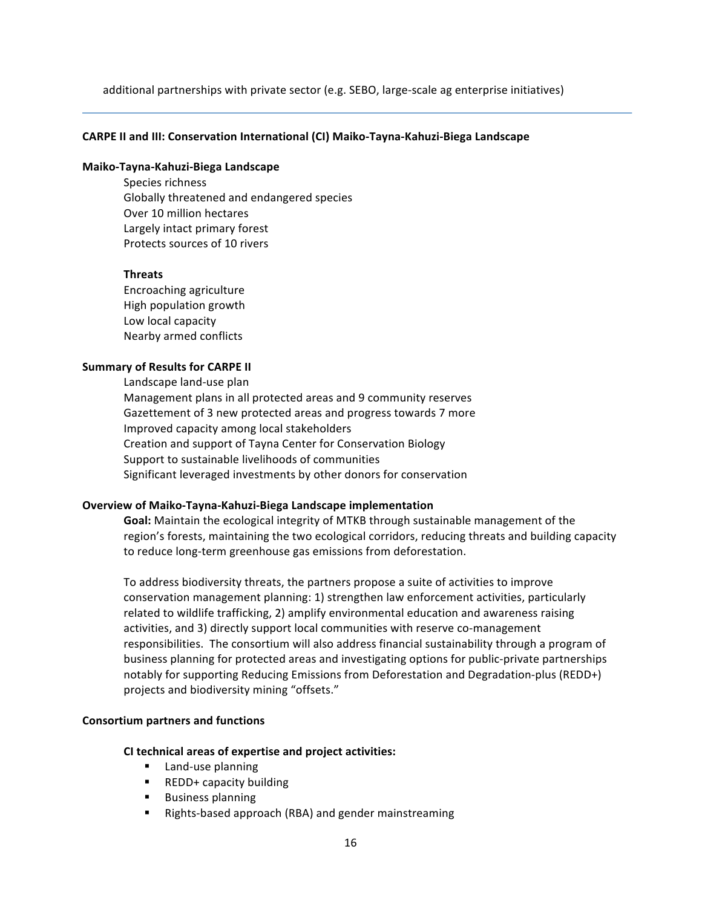additional partnerships with private sector (e.g. SEBO, large-scale ag enterprise initiatives)

#### **CARPE II and III: Conservation International (CI) Maiko-Tayna-Kahuzi-Biega Landscape**

#### **Maiko-Tayna-Kahuzi-Biega Landscape**

Species richness Globally threatened and endangered species Over 10 million hectares Largely intact primary forest Protects sources of 10 rivers

#### **Threats**

Encroaching agriculture High population growth Low local capacity Nearby armed conflicts

#### **Summary of Results for CARPE II**

Landscape land-use plan Management plans in all protected areas and 9 community reserves Gazettement of 3 new protected areas and progress towards 7 more Improved capacity among local stakeholders Creation and support of Tayna Center for Conservation Biology Support to sustainable livelihoods of communities Significant leveraged investments by other donors for conservation

#### **Overview of Maiko-Tayna-Kahuzi-Biega Landscape implementation**

**Goal:** Maintain the ecological integrity of MTKB through sustainable management of the region's forests, maintaining the two ecological corridors, reducing threats and building capacity to reduce long-term greenhouse gas emissions from deforestation.

To address biodiversity threats, the partners propose a suite of activities to improve conservation management planning: 1) strengthen law enforcement activities, particularly related to wildlife trafficking, 2) amplify environmental education and awareness raising activities, and 3) directly support local communities with reserve co-management responsibilities. The consortium will also address financial sustainability through a program of business planning for protected areas and investigating options for public-private partnerships notably for supporting Reducing Emissions from Deforestation and Degradation-plus (REDD+) projects and biodiversity mining "offsets."

#### **Consortium partners and functions**

#### **CI technical areas of expertise and project activities:**

- Land-use planning
- REDD+ capacity building
- Business planning
- Rights-based approach (RBA) and gender mainstreaming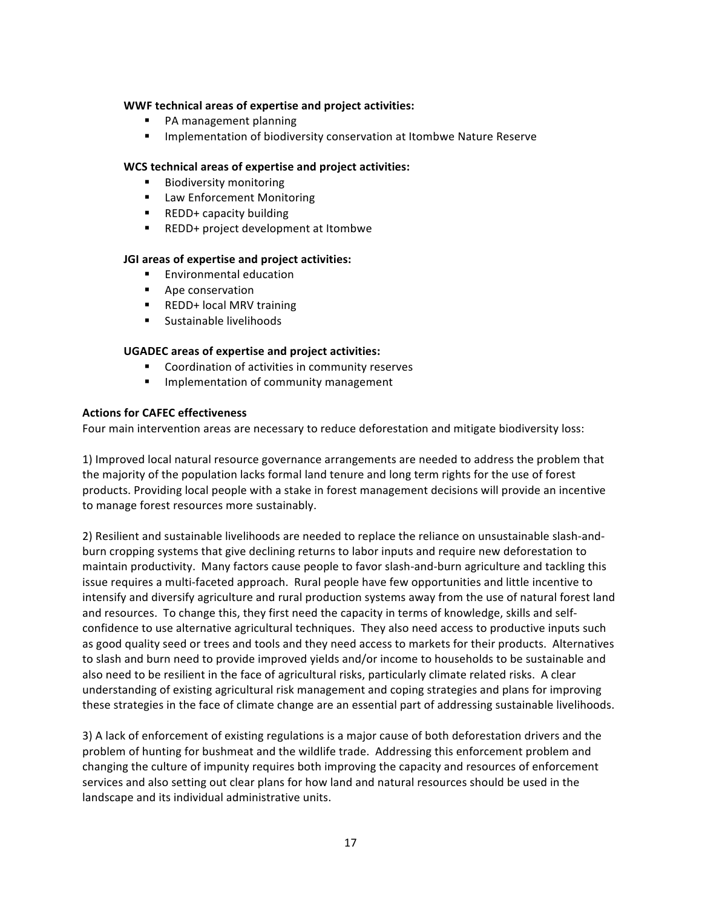## **WWF technical areas of expertise and project activities:**

- PA management planning
- Implementation of biodiversity conservation at Itombwe Nature Reserve

## **WCS technical areas of expertise and project activities:**

- Biodiversity monitoring
- Law Enforcement Monitoring
- REDD+ capacity building
- REDD+ project development at Itombwe

## **JGI** areas of expertise and project activities:

- **Environmental education**
- Ape conservation
- REDD+ local MRV training
- Sustainable livelihoods

## **UGADEC areas of expertise and project activities:**

- Coordination of activities in community reserves
- Implementation of community management

## **Actions for CAFEC effectiveness**

Four main intervention areas are necessary to reduce deforestation and mitigate biodiversity loss:

1) Improved local natural resource governance arrangements are needed to address the problem that the majority of the population lacks formal land tenure and long term rights for the use of forest products. Providing local people with a stake in forest management decisions will provide an incentive to manage forest resources more sustainably.

2) Resilient and sustainable livelihoods are needed to replace the reliance on unsustainable slash-andburn cropping systems that give declining returns to labor inputs and require new deforestation to maintain productivity. Many factors cause people to favor slash-and-burn agriculture and tackling this issue requires a multi-faceted approach. Rural people have few opportunities and little incentive to intensify and diversify agriculture and rural production systems away from the use of natural forest land and resources. To change this, they first need the capacity in terms of knowledge, skills and selfconfidence to use alternative agricultural techniques. They also need access to productive inputs such as good quality seed or trees and tools and they need access to markets for their products. Alternatives to slash and burn need to provide improved yields and/or income to households to be sustainable and also need to be resilient in the face of agricultural risks, particularly climate related risks. A clear understanding of existing agricultural risk management and coping strategies and plans for improving these strategies in the face of climate change are an essential part of addressing sustainable livelihoods.

3) A lack of enforcement of existing regulations is a major cause of both deforestation drivers and the problem of hunting for bushmeat and the wildlife trade. Addressing this enforcement problem and changing the culture of impunity requires both improving the capacity and resources of enforcement services and also setting out clear plans for how land and natural resources should be used in the landscape and its individual administrative units.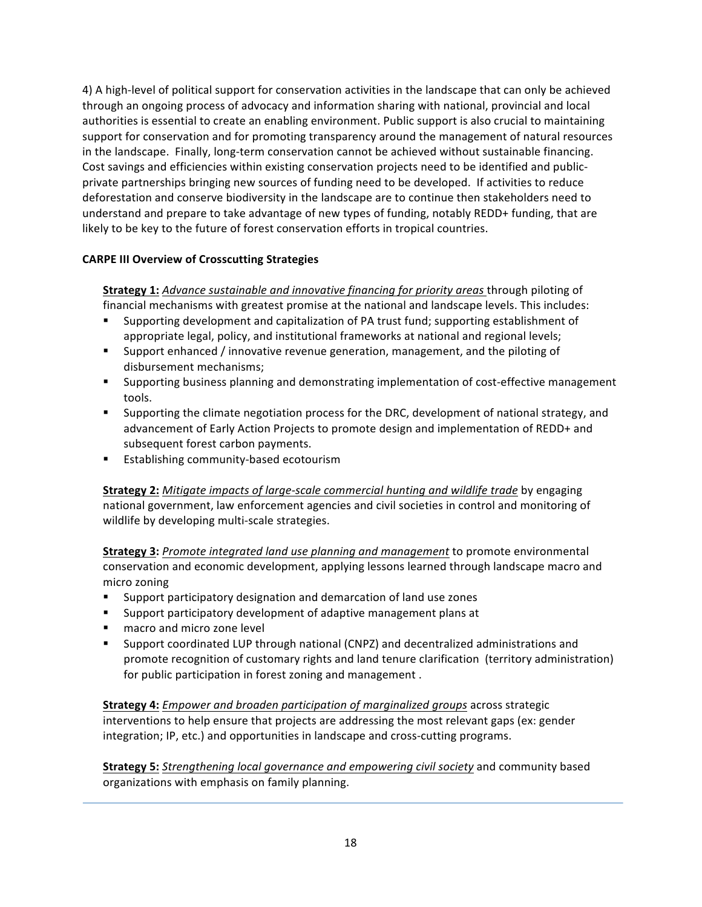4) A high-level of political support for conservation activities in the landscape that can only be achieved through an ongoing process of advocacy and information sharing with national, provincial and local authorities is essential to create an enabling environment. Public support is also crucial to maintaining support for conservation and for promoting transparency around the management of natural resources in the landscape. Finally, long-term conservation cannot be achieved without sustainable financing. Cost savings and efficiencies within existing conservation projects need to be identified and publicprivate partnerships bringing new sources of funding need to be developed. If activities to reduce deforestation and conserve biodiversity in the landscape are to continue then stakeholders need to understand and prepare to take advantage of new types of funding, notably REDD+ funding, that are likely to be key to the future of forest conservation efforts in tropical countries.

# **CARPE III Overview of Crosscutting Strategies**

**Strategy 1:** *Advance sustainable and innovative financing for priority areas through piloting of* financial mechanisms with greatest promise at the national and landscape levels. This includes:

- **•** Supporting development and capitalization of PA trust fund; supporting establishment of appropriate legal, policy, and institutional frameworks at national and regional levels;
- **Examber** Support enhanced / innovative revenue generation, management, and the piloting of disbursement mechanisms;
- **■** Supporting business planning and demonstrating implementation of cost-effective management tools.
- Supporting the climate negotiation process for the DRC, development of national strategy, and advancement of Early Action Projects to promote design and implementation of REDD+ and subsequent forest carbon payments.
- Establishing community-based ecotourism

**Strategy 2:** *Mitigate impacts of large-scale commercial hunting and wildlife trade by engaging* national government, law enforcement agencies and civil societies in control and monitoring of wildlife by developing multi-scale strategies.

**Strategy 3:** Promote integrated land use planning and management to promote environmental conservation and economic development, applying lessons learned through landscape macro and micro zoning 

- Support participatory designation and demarcation of land use zones
- Support participatory development of adaptive management plans at
- macro and micro zone level
- Support coordinated LUP through national (CNPZ) and decentralized administrations and promote recognition of customary rights and land tenure clarification (territory administration) for public participation in forest zoning and management.

**Strategy 4:** *Empower and broaden participation of marginalized groups* across strategic interventions to help ensure that projects are addressing the most relevant gaps (ex: gender integration; IP, etc.) and opportunities in landscape and cross-cutting programs.

**Strategy 5:** *Strengthening local governance and empowering civil society* and community based organizations with emphasis on family planning.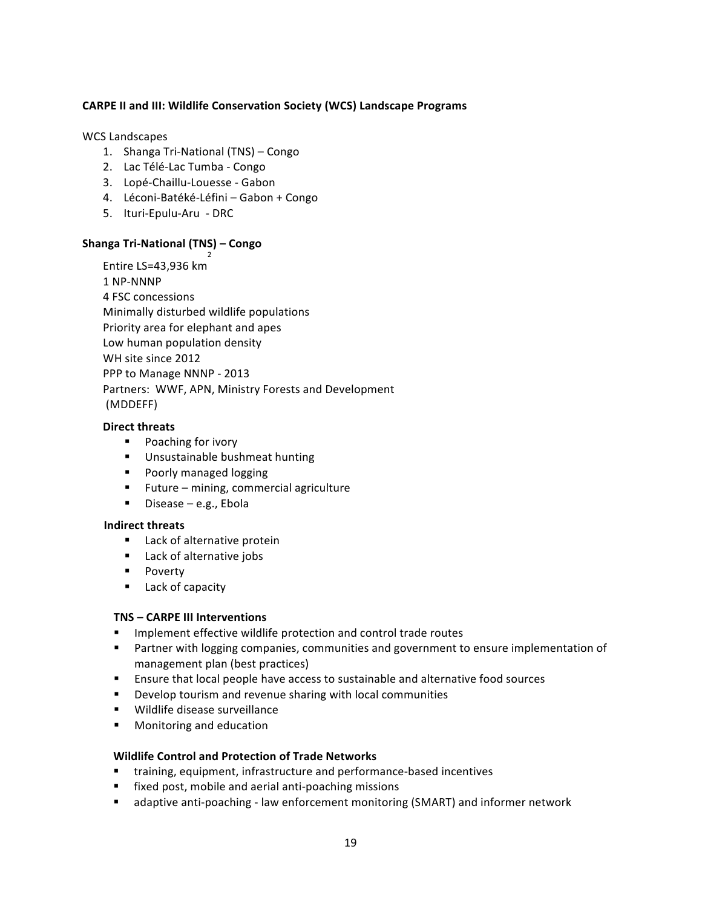# **CARPE II and III: Wildlife Conservation Society (WCS) Landscape Programs**

## WCS Landscapes

- 1. Shanga Tri-National (TNS) Congo
- 2. Lac Télé-Lac Tumba Congo
- 3. Lopé-Chaillu-Louesse Gabon
- 4. Léconi-Batéké-Léfini Gabon + Congo
- 5. Ituri-Epulu-Aru DRC

# **Shanga Tri-National (TNS) – Congo**

Entire LS=43,936 km 2

1 NP-NNNP 4 FSC concessions Minimally disturbed wildlife populations Priority area for elephant and apes Low human population density WH site since 2012 PPP to Manage NNNP - 2013 Partners: WWF, APN, Ministry Forests and Development (MDDEFF)

## **Direct threats**

- Poaching for ivory
- Unsustainable bushmeat hunting
- Poorly managed logging
- Future mining, commercial agriculture
- Disease  $-$  e.g., Ebola

# **Indirect threats**

- Lack of alternative protein
- Lack of alternative jobs
- Poverty
- Lack of capacity

# **TNS** – **CARPE III** Interventions

- Implement effective wildlife protection and control trade routes
- **■** Partner with logging companies, communities and government to ensure implementation of management plan (best practices)
- **Ensure that local people have access to sustainable and alternative food sources**
- Develop tourism and revenue sharing with local communities
- Wildlife disease surveillance
- Monitoring and education

# **Wildlife Control and Protection of Trade Networks**

- training, equipment, infrastructure and performance-based incentives
- fixed post, mobile and aerial anti-poaching missions
- adaptive anti-poaching law enforcement monitoring (SMART) and informer network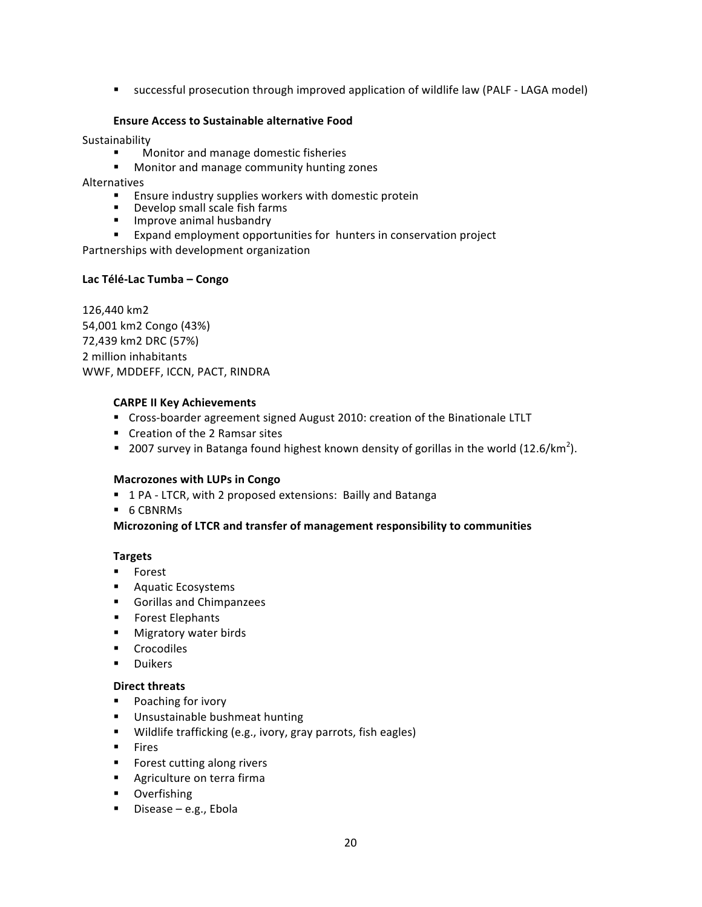■ successful prosecution through improved application of wildlife law (PALF - LAGA model)

# **Ensure Access to Sustainable alternative Food**

Sustainability

- Monitor and manage domestic fisheries
- Monitor and manage community hunting zones

Alternatives

- Ensure industry supplies workers with domestic protein
- Develop small scale fish farms<br>■ Improve animal husbandry
- 
- Expand employment opportunities for hunters in conservation project

Partnerships with development organization

## **Lac Télé-Lac Tumba – Congo**

126,440 km2 54,001 km2 Congo (43%) 72,439 km2 DRC (57%) 2 million inhabitants WWF, MDDEFF, ICCN, PACT, RINDRA

## **CARPE II Key Achievements**

- Cross-boarder agreement signed August 2010: creation of the Binationale LTLT
- Creation of the 2 Ramsar sites
- **•** 2007 survey in Batanga found highest known density of gorillas in the world (12.6/km<sup>2</sup>).

#### **Macrozones with LUPs in Congo**

- 1 PA LTCR, with 2 proposed extensions: Bailly and Batanga
- 6 CBNRMs

# **Microzoning of LTCR and transfer of management responsibility to communities**

# **Targets**

- Forest
- Aquatic Ecosystems
- Gorillas and Chimpanzees
- Forest Elephants
- Migratory water birds
- § Crocodiles
- § Duikers

#### **Direct threats**

- Poaching for ivory
- Unsustainable bushmeat hunting
- Wildlife trafficking (e.g., ivory, gray parrots, fish eagles)
- § Fires
- Forest cutting along rivers
- Agriculture on terra firma
- § Overfishing
- $\blacksquare$  Disease e.g., Ebola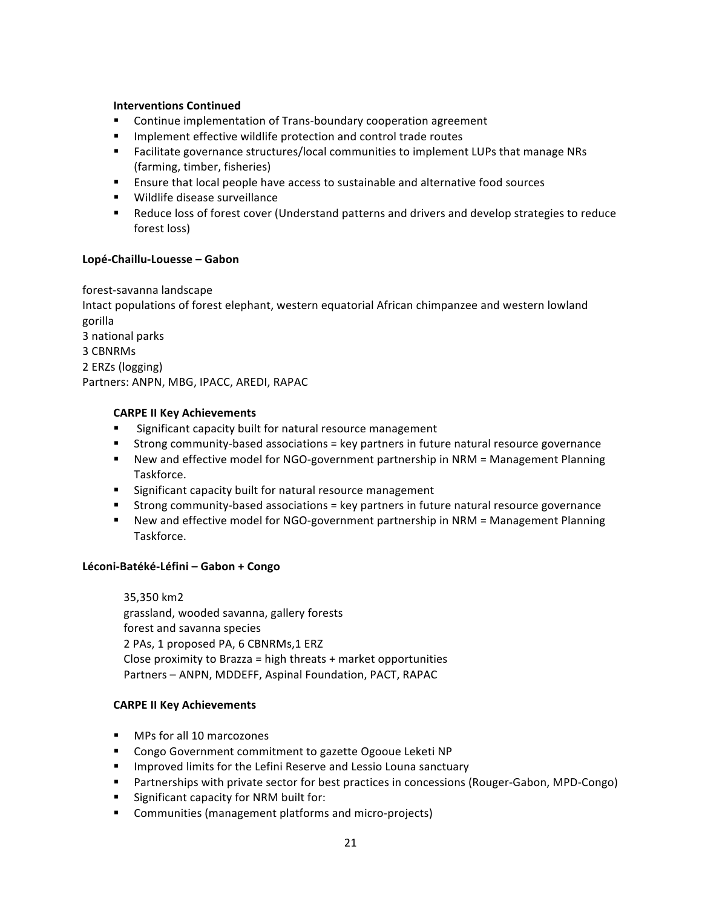## **Interventions Continued**

- Continue implementation of Trans-boundary cooperation agreement
- Implement effective wildlife protection and control trade routes
- Facilitate governance structures/local communities to implement LUPs that manage NRs (farming, timber, fisheries)
- **Ensure that local people have access to sustainable and alternative food sources**
- Wildlife disease surveillance
- Reduce loss of forest cover (Understand patterns and drivers and develop strategies to reduce forest loss)

# **Lopé-Chaillu-Louesse – Gabon**

forest-savanna landscape Intact populations of forest elephant, western equatorial African chimpanzee and western lowland gorilla 3 national parks 3 CBNRMs 2 ERZs (logging) Partners: ANPN, MBG, IPACC, AREDI, RAPAC

# **CARPE II Key Achievements**

- Significant capacity built for natural resource management
- Strong community-based associations = key partners in future natural resource governance
- New and effective model for NGO-government partnership in NRM = Management Planning Taskforce.
- Significant capacity built for natural resource management
- Strong community-based associations = key partners in future natural resource governance
- New and effective model for NGO-government partnership in NRM = Management Planning Taskforce.

# **Léconi-Batéké-Léfini – Gabon + Congo**

35,350 km2 grassland, wooded savanna, gallery forests forest and savanna species 2 PAs, 1 proposed PA, 6 CBNRMs, 1 ERZ Close proximity to Brazza = high threats  $+$  market opportunities Partners - ANPN, MDDEFF, Aspinal Foundation, PACT, RAPAC

# **CARPE II Key Achievements**

- MPs for all 10 marcozones
- Congo Government commitment to gazette Ogooue Leketi NP
- **■** Improved limits for the Lefini Reserve and Lessio Louna sanctuary
- Partnerships with private sector for best practices in concessions (Rouger-Gabon, MPD-Congo)
- Significant capacity for NRM built for:
- Communities (management platforms and micro-projects)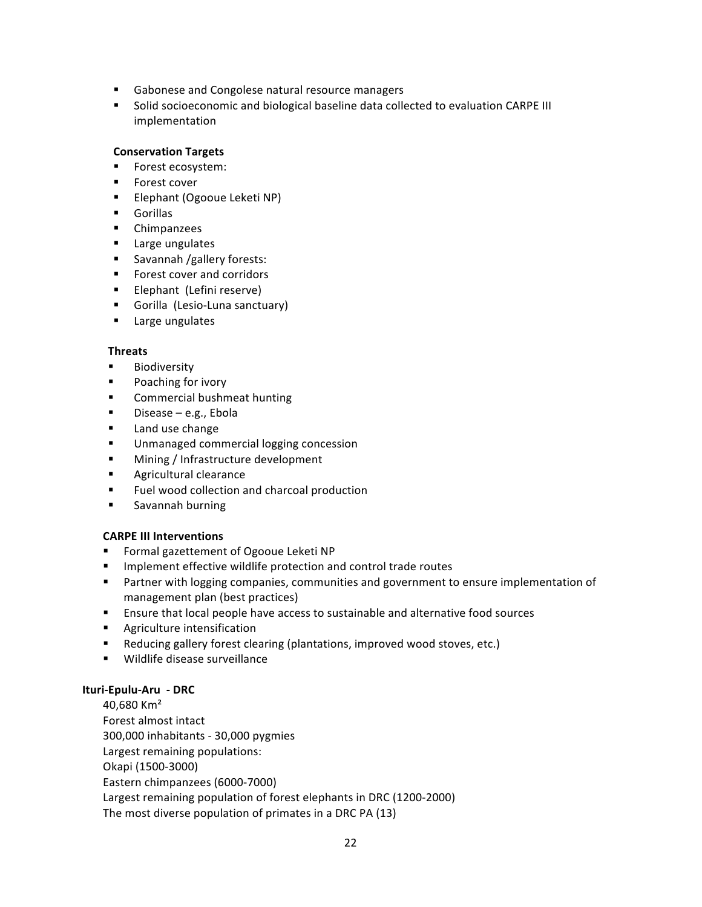- Gabonese and Congolese natural resource managers
- Solid socioeconomic and biological baseline data collected to evaluation CARPE III implementation

# **Conservation Targets**

- Forest ecosystem:
- Forest cover
- Elephant (Ogooue Leketi NP)
- § Gorillas
- § Chimpanzees
- Large ungulates
- Savannah /gallery forests:
- Forest cover and corridors
- Elephant (Lefini reserve)
- Gorilla (Lesio-Luna sanctuary)
- Large ungulates

# **Threats**

- **Biodiversity**
- Poaching for ivory
- Commercial bushmeat hunting
- $\blacksquare$  Disease e.g., Ebola
- Land use change
- Unmanaged commercial logging concession
- Mining / Infrastructure development
- **•** Agricultural clearance
- Fuel wood collection and charcoal production
- § Savannah burning

# **CARPE III Interventions**

- Formal gazettement of Ogooue Leketi NP
- **■** Implement effective wildlife protection and control trade routes
- **•** Partner with logging companies, communities and government to ensure implementation of management plan (best practices)
- **Ensure that local people have access to sustainable and alternative food sources**
- Agriculture intensification
- Reducing gallery forest clearing (plantations, improved wood stoves, etc.)
- Wildlife disease surveillance

# **Ituri-Epulu-Aru - DRC**

40,680 Km² Forest almost intact 300,000 inhabitants - 30,000 pygmies Largest remaining populations: Okapi (1500-3000) Eastern chimpanzees (6000-7000) Largest remaining population of forest elephants in DRC (1200-2000) The most diverse population of primates in a DRC PA (13)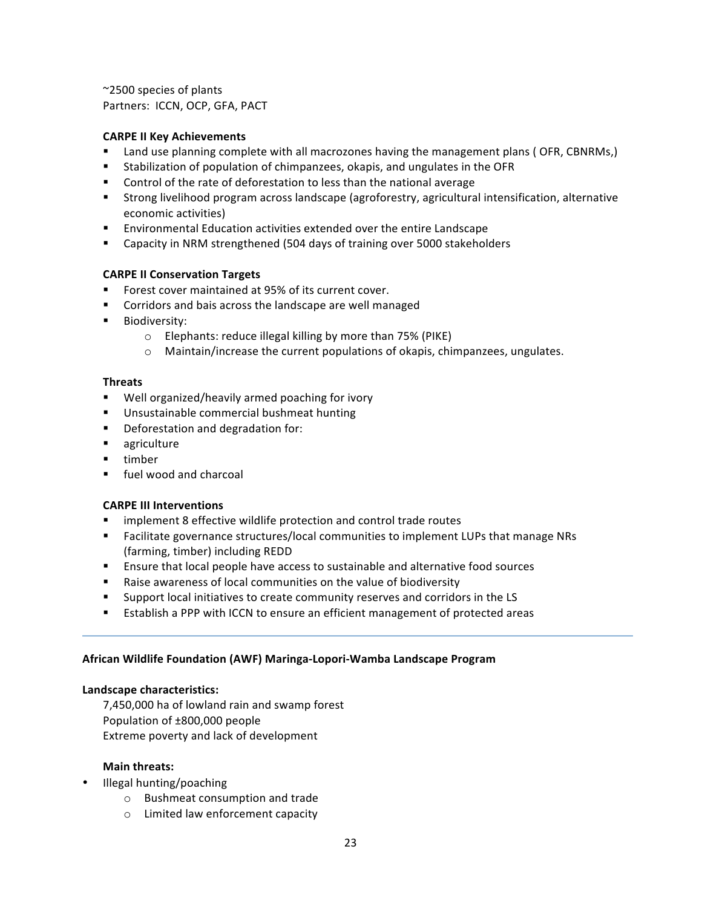$\sim$ 2500 species of plants Partners: ICCN, OCP, GFA, PACT

## **CARPE II Key Achievements**

- Land use planning complete with all macrozones having the management plans (OFR, CBNRMs,)
- Stabilization of population of chimpanzees, okapis, and ungulates in the OFR
- Control of the rate of deforestation to less than the national average
- Strong livelihood program across landscape (agroforestry, agricultural intensification, alternative economic activities)
- Environmental Education activities extended over the entire Landscape
- Capacity in NRM strengthened (504 days of training over 5000 stakeholders

## **CARPE II Conservation Targets**

- Forest cover maintained at 95% of its current cover.
- Corridors and bais across the landscape are well managed
- Biodiversity:
	- o Elephants: reduce illegal killing by more than 75% (PIKE)
	- $\circ$  Maintain/increase the current populations of okapis, chimpanzees, ungulates.

#### **Threats**

- Well organized/heavily armed poaching for ivory
- Unsustainable commercial bushmeat hunting
- Deforestation and degradation for:
- agriculture
- timber
- fuel wood and charcoal

#### **CARPE III Interventions**

- **EXEDEM** implement 8 effective wildlife protection and control trade routes
- Facilitate governance structures/local communities to implement LUPs that manage NRs (farming, timber) including REDD
- **Ensure that local people have access to sustainable and alternative food sources**
- Raise awareness of local communities on the value of biodiversity
- Support local initiatives to create community reserves and corridors in the LS
- **Establish a PPP with ICCN to ensure an efficient management of protected areas**

#### **African Wildlife Foundation (AWF) Maringa-Lopori-Wamba Landscape Program**

#### Landscape characteristics:

7,450,000 ha of lowland rain and swamp forest Population of ±800,000 people Extreme poverty and lack of development

#### **Main threats:**

- Illegal hunting/poaching
	- $\circ$  Bushmeat consumption and trade
	- $\circ$  Limited law enforcement capacity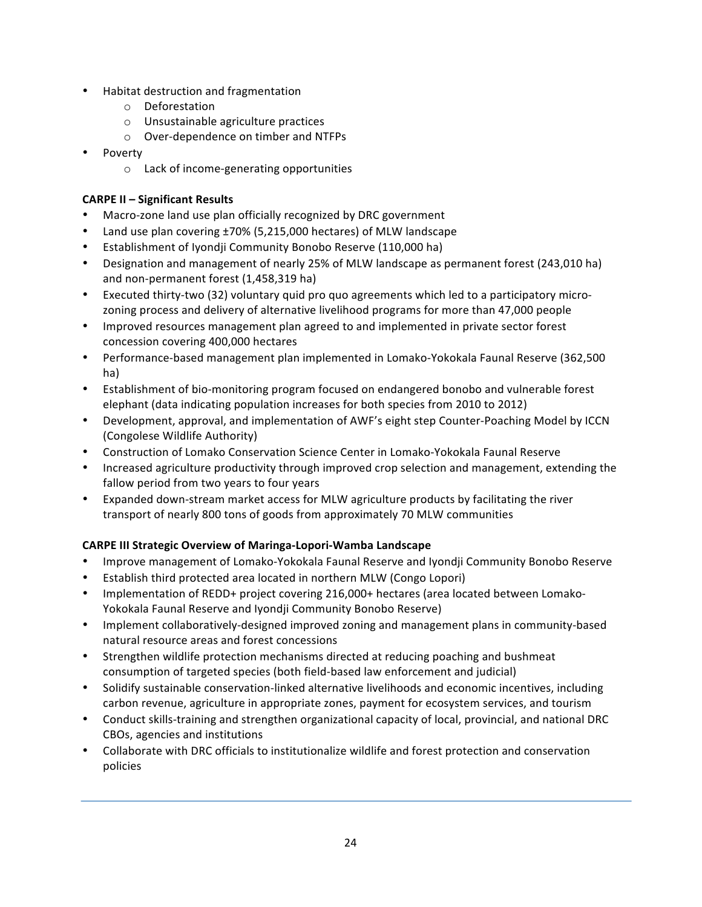- Habitat destruction and fragmentation
	- o Deforestation
	- $\circ$  Unsustainable agriculture practices
	- o Over-dependence on timber and NTFPs
- Poverty
	- $\circ$  Lack of income-generating opportunities

# **CARPE II – Significant Results**

- Macro-zone land use plan officially recognized by DRC government
- Land use plan covering  $\pm 70\%$  (5,215,000 hectares) of MLW landscape
- Establishment of Iyondji Community Bonobo Reserve (110,000 ha)
- Designation and management of nearly 25% of MLW landscape as permanent forest (243,010 ha) and non-permanent forest (1,458,319 ha)
- Executed thirty-two (32) voluntary quid pro quo agreements which led to a participatory microzoning process and delivery of alternative livelihood programs for more than 47,000 people
- Improved resources management plan agreed to and implemented in private sector forest concession covering 400,000 hectares
- Performance-based management plan implemented in Lomako-Yokokala Faunal Reserve (362,500 ha)
- Establishment of bio-monitoring program focused on endangered bonobo and vulnerable forest elephant (data indicating population increases for both species from 2010 to 2012)
- Development, approval, and implementation of AWF's eight step Counter-Poaching Model by ICCN (Congolese Wildlife Authority)
- Construction of Lomako Conservation Science Center in Lomako-Yokokala Faunal Reserve
- Increased agriculture productivity through improved crop selection and management, extending the fallow period from two years to four years
- Expanded down-stream market access for MLW agriculture products by facilitating the river transport of nearly 800 tons of goods from approximately 70 MLW communities

# **CARPE III Strategic Overview of Maringa-Lopori-Wamba Landscape**

- Improve management of Lomako-Yokokala Faunal Reserve and Iyondji Community Bonobo Reserve
- Establish third protected area located in northern MLW (Congo Lopori)
- Implementation of REDD+ project covering 216,000+ hectares (area located between Lomako-Yokokala Faunal Reserve and Iyondji Community Bonobo Reserve)
- Implement collaboratively-designed improved zoning and management plans in community-based natural resource areas and forest concessions
- Strengthen wildlife protection mechanisms directed at reducing poaching and bushmeat consumption of targeted species (both field-based law enforcement and judicial)
- Solidify sustainable conservation-linked alternative livelihoods and economic incentives, including carbon revenue, agriculture in appropriate zones, payment for ecosystem services, and tourism
- Conduct skills-training and strengthen organizational capacity of local, provincial, and national DRC CBOs, agencies and institutions
- Collaborate with DRC officials to institutionalize wildlife and forest protection and conservation policies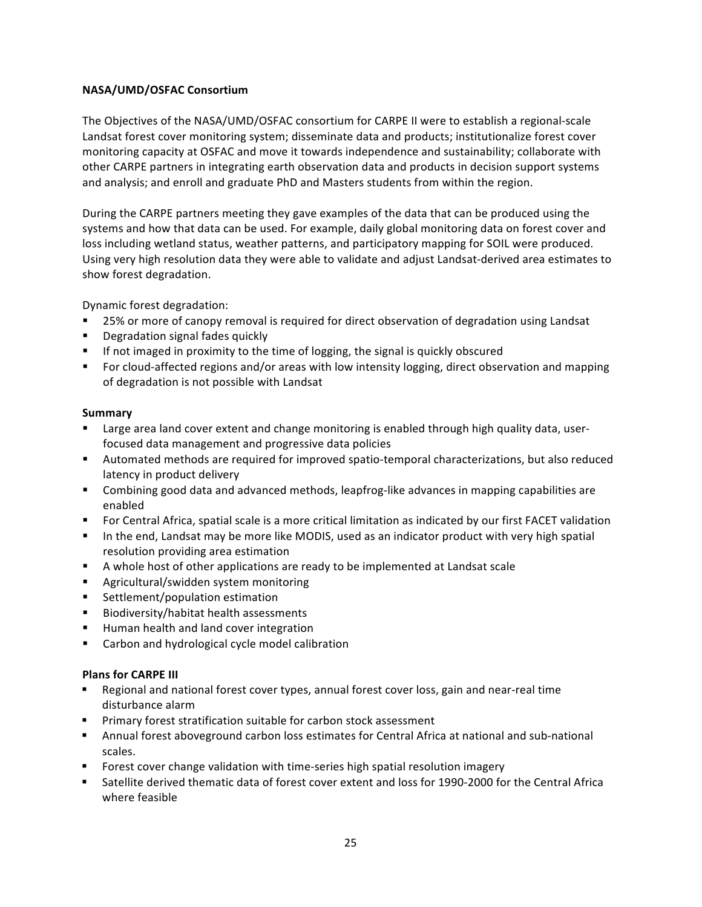# **NASA/UMD/OSFAC Consortium**

The Objectives of the NASA/UMD/OSFAC consortium for CARPE II were to establish a regional-scale Landsat forest cover monitoring system; disseminate data and products; institutionalize forest cover monitoring capacity at OSFAC and move it towards independence and sustainability; collaborate with other CARPE partners in integrating earth observation data and products in decision support systems and analysis; and enroll and graduate PhD and Masters students from within the region.

During the CARPE partners meeting they gave examples of the data that can be produced using the systems and how that data can be used. For example, daily global monitoring data on forest cover and loss including wetland status, weather patterns, and participatory mapping for SOIL were produced. Using very high resolution data they were able to validate and adjust Landsat-derived area estimates to show forest degradation.

Dynamic forest degradation:

- 25% or more of canopy removal is required for direct observation of degradation using Landsat
- Degradation signal fades quickly
- **•** If not imaged in proximity to the time of logging, the signal is quickly obscured
- For cloud-affected regions and/or areas with low intensity logging, direct observation and mapping of degradation is not possible with Landsat

# **Summary**

- Large area land cover extent and change monitoring is enabled through high quality data, userfocused data management and progressive data policies
- Automated methods are required for improved spatio-temporal characterizations, but also reduced latency in product delivery
- <sup>■</sup> Combining good data and advanced methods, leapfrog-like advances in mapping capabilities are enabled
- For Central Africa, spatial scale is a more critical limitation as indicated by our first FACET validation
- **•** In the end, Landsat may be more like MODIS, used as an indicator product with very high spatial resolution providing area estimation
- **•** A whole host of other applications are ready to be implemented at Landsat scale
- Agricultural/swidden system monitoring
- Settlement/population estimation
- Biodiversity/habitat health assessments
- Human health and land cover integration
- Carbon and hydrological cycle model calibration

# **Plans for CARPE III**

- Regional and national forest cover types, annual forest cover loss, gain and near-real time disturbance alarm
- **•** Primary forest stratification suitable for carbon stock assessment
- Annual forest aboveground carbon loss estimates for Central Africa at national and sub-national scales.
- **•** Forest cover change validation with time-series high spatial resolution imagery
- Satellite derived thematic data of forest cover extent and loss for 1990-2000 for the Central Africa where feasible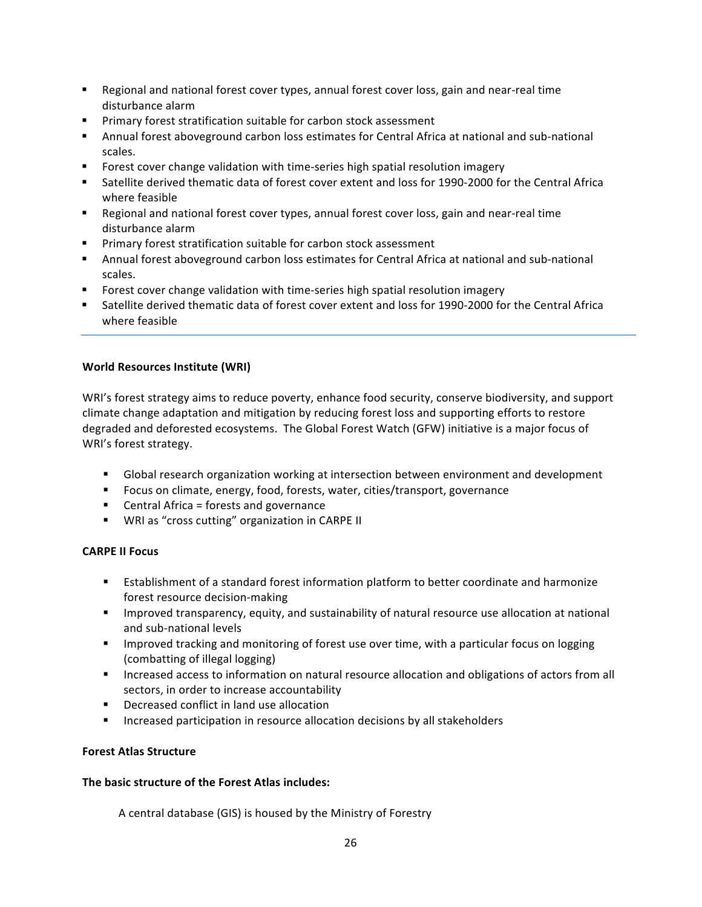- Regional and national forest cover types, annual forest cover loss, gain and near-real time disturbance alarm
- Primary forest stratification suitable for carbon stock assessment
- Annual forest aboveground carbon loss estimates for Central Africa at national and sub-national scales.
- **Figurat** Forest cover change validation with time-series high spatial resolution imagery
- Satellite derived thematic data of forest cover extent and loss for 1990-2000 for the Central Africa where feasible
- Regional and national forest cover types, annual forest cover loss, gain and near-real time disturbance alarm
- Primary forest stratification suitable for carbon stock assessment
- Annual forest aboveground carbon loss estimates for Central Africa at national and sub-national scales.
- **Forest cover change validation with time-series high spatial resolution imagery**
- Satellite derived thematic data of forest cover extent and loss for 1990-2000 for the Central Africa where feasible

# **World Resources Institute (WRI)**

WRI's forest strategy aims to reduce poverty, enhance food security, conserve biodiversity, and support climate change adaptation and mitigation by reducing forest loss and supporting efforts to restore degraded and deforested ecosystems. The Global Forest Watch (GFW) initiative is a major focus of WRI's forest strategy.

- Global research organization working at intersection between environment and development
- Focus on climate, energy, food, forests, water, cities/transport, governance
- $\blacksquare$  Central Africa = forests and governance
- WRI as "cross cutting" organization in CARPE II

# **CARPE II Focus**

- Establishment of a standard forest information platform to better coordinate and harmonize forest resource decision-making
- **E** Improved transparency, equity, and sustainability of natural resource use allocation at national and sub-national levels
- **Example 1** Improved tracking and monitoring of forest use over time, with a particular focus on logging (combatting of illegal logging)
- Increased access to information on natural resource allocation and obligations of actors from all sectors, in order to increase accountability
- Decreased conflict in land use allocation
- **■** Increased participation in resource allocation decisions by all stakeholders

# **Forest Atlas Structure**

# The basic structure of the Forest Atlas includes:

A central database (GIS) is housed by the Ministry of Forestry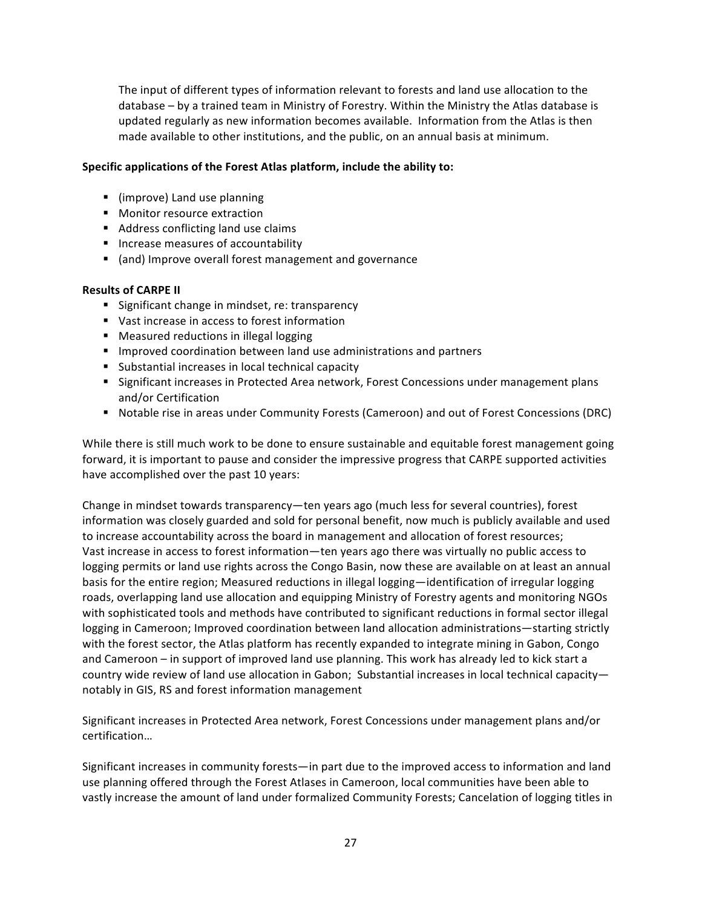The input of different types of information relevant to forests and land use allocation to the database – by a trained team in Ministry of Forestry. Within the Ministry the Atlas database is updated regularly as new information becomes available. Information from the Atlas is then made available to other institutions, and the public, on an annual basis at minimum.

# Specific applications of the Forest Atlas platform, include the ability to:

- (improve) Land use planning
- Monitor resource extraction
- Address conflicting land use claims
- Increase measures of accountability
- (and) Improve overall forest management and governance

## **Results of CARPE II**

- Significant change in mindset, re: transparency
- Vast increase in access to forest information
- Measured reductions in illegal logging
- Improved coordination between land use administrations and partners
- Substantial increases in local technical capacity
- Significant increases in Protected Area network, Forest Concessions under management plans and/or Certification
- Notable rise in areas under Community Forests (Cameroon) and out of Forest Concessions (DRC)

While there is still much work to be done to ensure sustainable and equitable forest management going forward, it is important to pause and consider the impressive progress that CARPE supported activities have accomplished over the past 10 years:

Change in mindset towards transparency—ten years ago (much less for several countries), forest information was closely guarded and sold for personal benefit, now much is publicly available and used to increase accountability across the board in management and allocation of forest resources; Vast increase in access to forest information—ten years ago there was virtually no public access to logging permits or land use rights across the Congo Basin, now these are available on at least an annual basis for the entire region; Measured reductions in illegal logging—identification of irregular logging roads, overlapping land use allocation and equipping Ministry of Forestry agents and monitoring NGOs with sophisticated tools and methods have contributed to significant reductions in formal sector illegal logging in Cameroon; Improved coordination between land allocation administrations—starting strictly with the forest sector, the Atlas platform has recently expanded to integrate mining in Gabon, Congo and Cameroon – in support of improved land use planning. This work has already led to kick start a country wide review of land use allocation in Gabon; Substantial increases in local technical capacitynotably in GIS, RS and forest information management

Significant increases in Protected Area network, Forest Concessions under management plans and/or certification…

Significant increases in community forests—in part due to the improved access to information and land use planning offered through the Forest Atlases in Cameroon, local communities have been able to vastly increase the amount of land under formalized Community Forests; Cancelation of logging titles in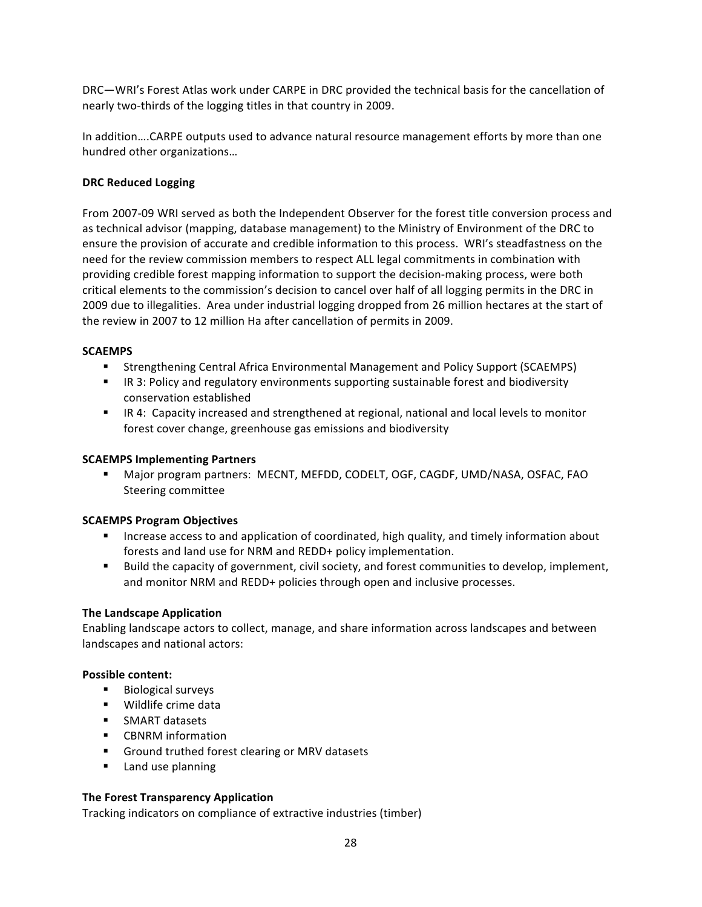DRC—WRI's Forest Atlas work under CARPE in DRC provided the technical basis for the cancellation of nearly two-thirds of the logging titles in that country in 2009.

In addition....CARPE outputs used to advance natural resource management efforts by more than one hundred other organizations...

# **DRC Reduced Logging**

From 2007-09 WRI served as both the Independent Observer for the forest title conversion process and as technical advisor (mapping, database management) to the Ministry of Environment of the DRC to ensure the provision of accurate and credible information to this process. WRI's steadfastness on the need for the review commission members to respect ALL legal commitments in combination with providing credible forest mapping information to support the decision-making process, were both critical elements to the commission's decision to cancel over half of all logging permits in the DRC in 2009 due to illegalities. Area under industrial logging dropped from 26 million hectares at the start of the review in 2007 to 12 million Ha after cancellation of permits in 2009.

## **SCAEMPS**

- Strengthening Central Africa Environmental Management and Policy Support (SCAEMPS)
- IR 3: Policy and regulatory environments supporting sustainable forest and biodiversity conservation established
- IR 4: Capacity increased and strengthened at regional, national and local levels to monitor forest cover change, greenhouse gas emissions and biodiversity

#### **SCAEMPS Implementing Partners**

**■** Major program partners: MECNT, MEFDD, CODELT, OGF, CAGDF, UMD/NASA, OSFAC, FAO Steering committee

# **SCAEMPS Program Objectives**

- **EXECT** Increase access to and application of coordinated, high quality, and timely information about forests and land use for NRM and REDD+ policy implementation.
- Build the capacity of government, civil society, and forest communities to develop, implement, and monitor NRM and REDD+ policies through open and inclusive processes.

# **The Landscape Application**

Enabling landscape actors to collect, manage, and share information across landscapes and between landscapes and national actors:

#### **Possible content:**

- Biological surveys
- Wildlife crime data
- SMART datasets
- CBNRM information
- Ground truthed forest clearing or MRV datasets
- Land use planning

# **The Forest Transparency Application**

Tracking indicators on compliance of extractive industries (timber)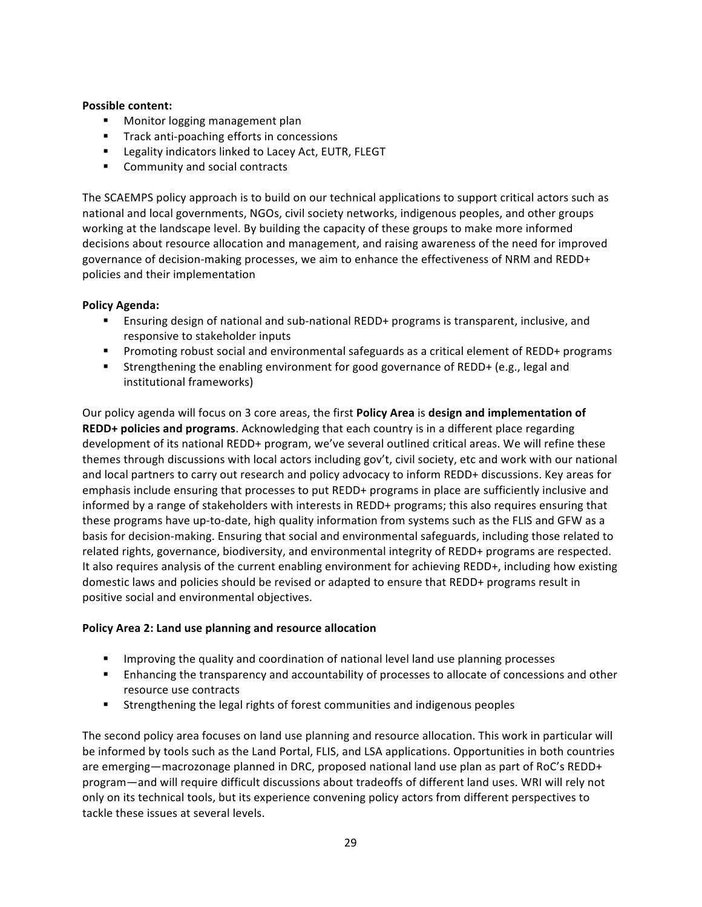# **Possible content:**

- Monitor logging management plan
- Track anti-poaching efforts in concessions
- Legality indicators linked to Lacey Act, EUTR, FLEGT
- Community and social contracts

The SCAEMPS policy approach is to build on our technical applications to support critical actors such as national and local governments, NGOs, civil society networks, indigenous peoples, and other groups working at the landscape level. By building the capacity of these groups to make more informed decisions about resource allocation and management, and raising awareness of the need for improved governance of decision-making processes, we aim to enhance the effectiveness of NRM and REDD+ policies and their implementation

# **Policy Agenda:**

- **Ensuring design of national and sub-national REDD+ programs is transparent, inclusive, and** responsive to stakeholder inputs
- **•** Promoting robust social and environmental safeguards as a critical element of REDD+ programs
- **Strengthening the enabling environment for good governance of REDD+** (e.g., legal and institutional frameworks)

Our policy agenda will focus on 3 core areas, the first **Policy Area** is **design and implementation of REDD+** policies and programs. Acknowledging that each country is in a different place regarding development of its national REDD+ program, we've several outlined critical areas. We will refine these themes through discussions with local actors including gov't, civil society, etc and work with our national and local partners to carry out research and policy advocacy to inform REDD+ discussions. Key areas for emphasis include ensuring that processes to put REDD+ programs in place are sufficiently inclusive and informed by a range of stakeholders with interests in REDD+ programs; this also requires ensuring that these programs have up-to-date, high quality information from systems such as the FLIS and GFW as a basis for decision-making. Ensuring that social and environmental safeguards, including those related to related rights, governance, biodiversity, and environmental integrity of REDD+ programs are respected. It also requires analysis of the current enabling environment for achieving REDD+, including how existing domestic laws and policies should be revised or adapted to ensure that REDD+ programs result in positive social and environmental objectives.

# Policy Area 2: Land use planning and resource allocation

- **■** Improving the quality and coordination of national level land use planning processes
- **Enhancing the transparency and accountability of processes to allocate of concessions and other** resource use contracts
- Strengthening the legal rights of forest communities and indigenous peoples

The second policy area focuses on land use planning and resource allocation. This work in particular will be informed by tools such as the Land Portal, FLIS, and LSA applications. Opportunities in both countries are emerging—macrozonage planned in DRC, proposed national land use plan as part of RoC's REDD+ program—and will require difficult discussions about tradeoffs of different land uses. WRI will rely not only on its technical tools, but its experience convening policy actors from different perspectives to tackle these issues at several levels.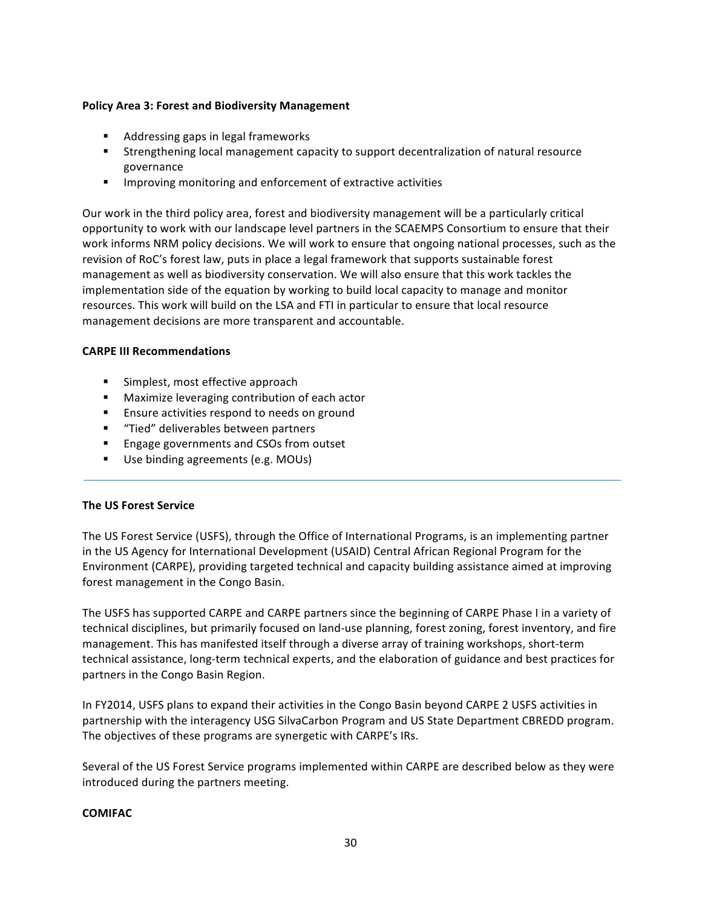## **Policy Area 3: Forest and Biodiversity Management**

- Addressing gaps in legal frameworks
- **•** Strengthening local management capacity to support decentralization of natural resource governance
- **■** Improving monitoring and enforcement of extractive activities

Our work in the third policy area, forest and biodiversity management will be a particularly critical opportunity to work with our landscape level partners in the SCAEMPS Consortium to ensure that their work informs NRM policy decisions. We will work to ensure that ongoing national processes, such as the revision of RoC's forest law, puts in place a legal framework that supports sustainable forest management as well as biodiversity conservation. We will also ensure that this work tackles the implementation side of the equation by working to build local capacity to manage and monitor resources. This work will build on the LSA and FTI in particular to ensure that local resource management decisions are more transparent and accountable.

## **CARPE III Recommendations**

- Simplest, most effective approach
- Maximize leveraging contribution of each actor
- Ensure activities respond to needs on ground
- **■** "Tied" deliverables between partners
- Engage governments and CSOs from outset
- Use binding agreements (e.g. MOUs)

# **The US Forest Service**

The US Forest Service (USFS), through the Office of International Programs, is an implementing partner in the US Agency for International Development (USAID) Central African Regional Program for the Environment (CARPE), providing targeted technical and capacity building assistance aimed at improving forest management in the Congo Basin.

The USFS has supported CARPE and CARPE partners since the beginning of CARPE Phase I in a variety of technical disciplines, but primarily focused on land-use planning, forest zoning, forest inventory, and fire management. This has manifested itself through a diverse array of training workshops, short-term technical assistance, long-term technical experts, and the elaboration of guidance and best practices for partners in the Congo Basin Region.

In FY2014, USFS plans to expand their activities in the Congo Basin beyond CARPE 2 USFS activities in partnership with the interagency USG SilvaCarbon Program and US State Department CBREDD program. The objectives of these programs are synergetic with CARPE's IRs.

Several of the US Forest Service programs implemented within CARPE are described below as they were introduced during the partners meeting.

# **COMIFAC**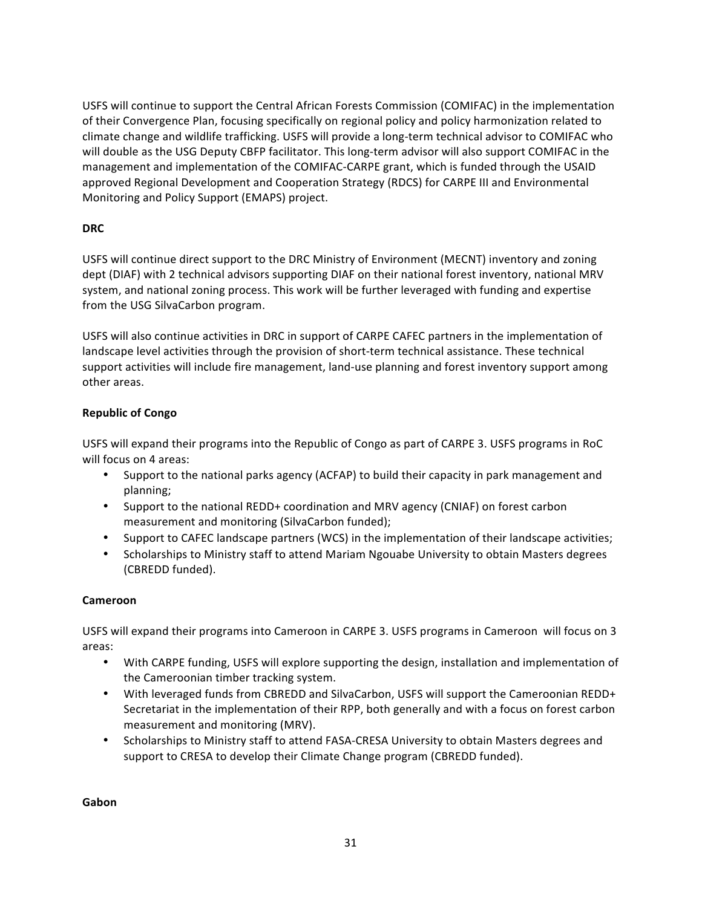USFS will continue to support the Central African Forests Commission (COMIFAC) in the implementation of their Convergence Plan, focusing specifically on regional policy and policy harmonization related to climate change and wildlife trafficking. USFS will provide a long-term technical advisor to COMIFAC who will double as the USG Deputy CBFP facilitator. This long-term advisor will also support COMIFAC in the management and implementation of the COMIFAC-CARPE grant, which is funded through the USAID approved Regional Development and Cooperation Strategy (RDCS) for CARPE III and Environmental Monitoring and Policy Support (EMAPS) project.

# **DRC**

USFS will continue direct support to the DRC Ministry of Environment (MECNT) inventory and zoning dept (DIAF) with 2 technical advisors supporting DIAF on their national forest inventory, national MRV system, and national zoning process. This work will be further leveraged with funding and expertise from the USG SilvaCarbon program.

USFS will also continue activities in DRC in support of CARPE CAFEC partners in the implementation of landscape level activities through the provision of short-term technical assistance. These technical support activities will include fire management, land-use planning and forest inventory support among other areas.

# **Republic of Congo**

USFS will expand their programs into the Republic of Congo as part of CARPE 3. USFS programs in RoC will focus on 4 areas:

- Support to the national parks agency (ACFAP) to build their capacity in park management and planning;
- Support to the national REDD+ coordination and MRV agency (CNIAF) on forest carbon measurement and monitoring (SilvaCarbon funded);
- Support to CAFEC landscape partners (WCS) in the implementation of their landscape activities;
- Scholarships to Ministry staff to attend Mariam Ngouabe University to obtain Masters degrees (CBREDD funded).

# **Cameroon**

USFS will expand their programs into Cameroon in CARPE 3. USFS programs in Cameroon will focus on 3 areas:

- With CARPE funding, USFS will explore supporting the design, installation and implementation of the Cameroonian timber tracking system.
- With leveraged funds from CBREDD and SilvaCarbon, USFS will support the Cameroonian REDD+ Secretariat in the implementation of their RPP, both generally and with a focus on forest carbon measurement and monitoring (MRV).
- Scholarships to Ministry staff to attend FASA-CRESA University to obtain Masters degrees and support to CRESA to develop their Climate Change program (CBREDD funded).

**Gabon**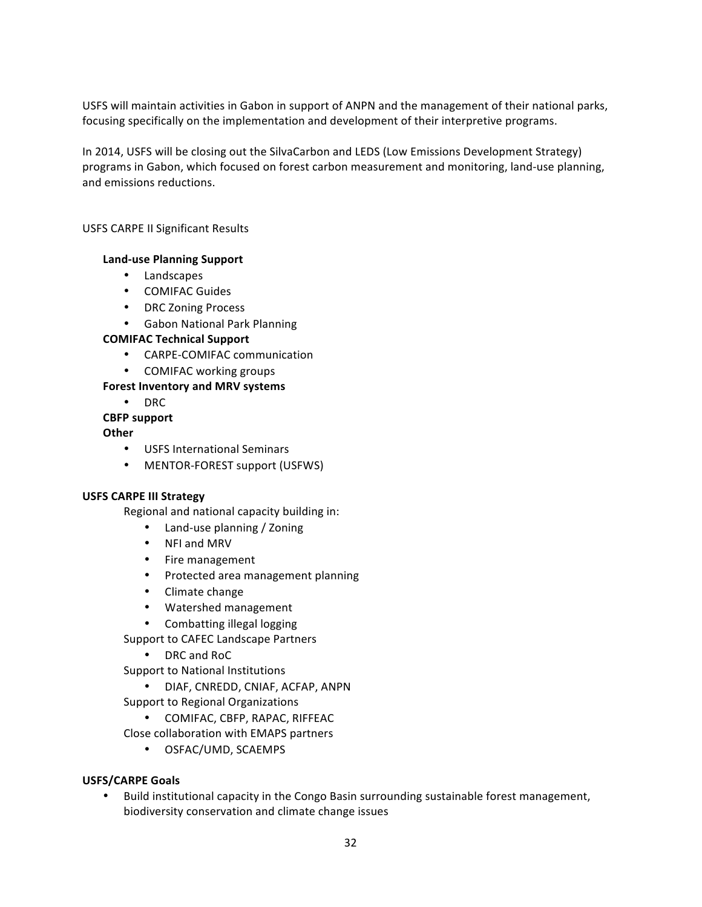USFS will maintain activities in Gabon in support of ANPN and the management of their national parks, focusing specifically on the implementation and development of their interpretive programs.

In 2014, USFS will be closing out the SilvaCarbon and LEDS (Low Emissions Development Strategy) programs in Gabon, which focused on forest carbon measurement and monitoring, land-use planning, and emissions reductions.

## USFS CARPE II Significant Results

## **Land-use Planning Support**

- Landscapes
- COMIFAC Guides
- DRC Zoning Process
- Gabon National Park Planning

# **COMIFAC Technical Support**

- CARPE-COMIFAC communication
- COMIFAC working groups

## Forest Inventory and MRV systems

• DRC

## **CBFP support**

## **Other**

- USFS International Seminars
- MENTOR-FOREST support (USFWS)

#### **USFS CARPE III Strategy**

Regional and national capacity building in:

- Land-use planning / Zoning
- NFI and MRV
- Fire management
- Protected area management planning
- Climate change
- Watershed management
- Combatting illegal logging
- Support to CAFEC Landscape Partners
	- DRC and RoC

Support to National Institutions

• DIAF, CNREDD, CNIAF, ACFAP, ANPN

Support to Regional Organizations

• COMIFAC, CBFP, RAPAC, RIFFEAC

Close collaboration with EMAPS partners

• OSFAC/UMD, SCAEMPS

# **USFS/CARPE Goals**

• Build institutional capacity in the Congo Basin surrounding sustainable forest management, biodiversity conservation and climate change issues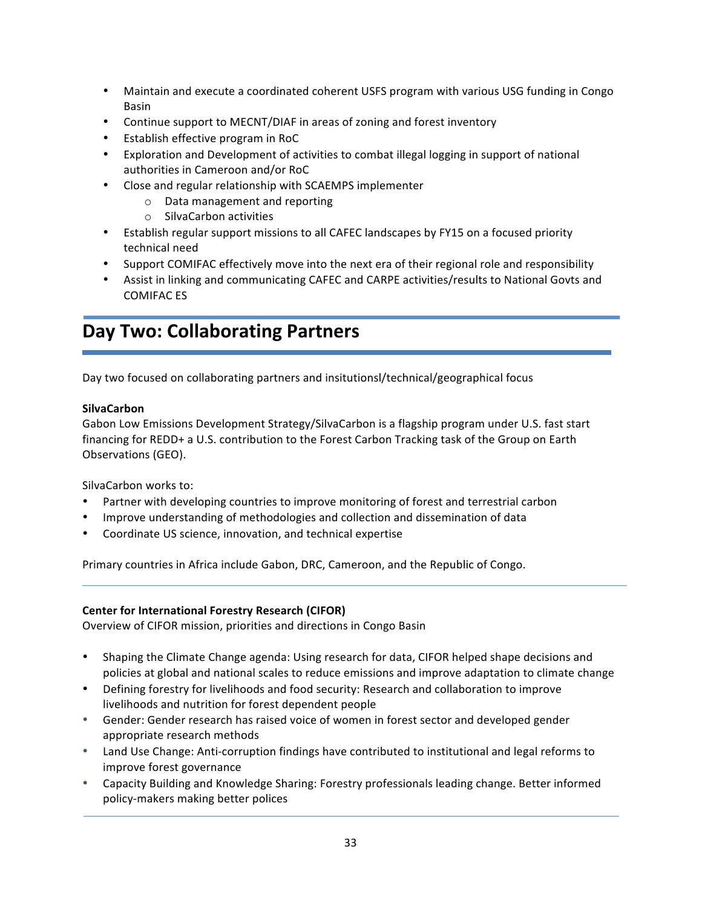- Maintain and execute a coordinated coherent USFS program with various USG funding in Congo Basin
- Continue support to MECNT/DIAF in areas of zoning and forest inventory
- Establish effective program in RoC
- Exploration and Development of activities to combat illegal logging in support of national authorities in Cameroon and/or RoC
- Close and regular relationship with SCAEMPS implementer
	- o Data management and reporting
	- o SilvaCarbon activities
- Establish regular support missions to all CAFEC landscapes by FY15 on a focused priority technical need
- Support COMIFAC effectively move into the next era of their regional role and responsibility
- Assist in linking and communicating CAFEC and CARPE activities/results to National Govts and COMIFAC ES

# **Day Two: Collaborating Partners**

Day two focused on collaborating partners and insitutionsl/technical/geographical focus

# **SilvaCarbon**

Gabon Low Emissions Development Strategy/SilvaCarbon is a flagship program under U.S. fast start financing for REDD+ a U.S. contribution to the Forest Carbon Tracking task of the Group on Earth Observations (GEO).

SilvaCarbon works to:

- Partner with developing countries to improve monitoring of forest and terrestrial carbon
- Improve understanding of methodologies and collection and dissemination of data
- Coordinate US science, innovation, and technical expertise

Primary countries in Africa include Gabon, DRC, Cameroon, and the Republic of Congo.

# **Center for International Forestry Research (CIFOR)**

Overview of CIFOR mission, priorities and directions in Congo Basin

- Shaping the Climate Change agenda: Using research for data, CIFOR helped shape decisions and policies at global and national scales to reduce emissions and improve adaptation to climate change
- Defining forestry for livelihoods and food security: Research and collaboration to improve livelihoods and nutrition for forest dependent people
- Gender: Gender research has raised voice of women in forest sector and developed gender appropriate research methods
- Land Use Change: Anti-corruption findings have contributed to institutional and legal reforms to improve forest governance
- Capacity Building and Knowledge Sharing: Forestry professionals leading change. Better informed policy-makers making better polices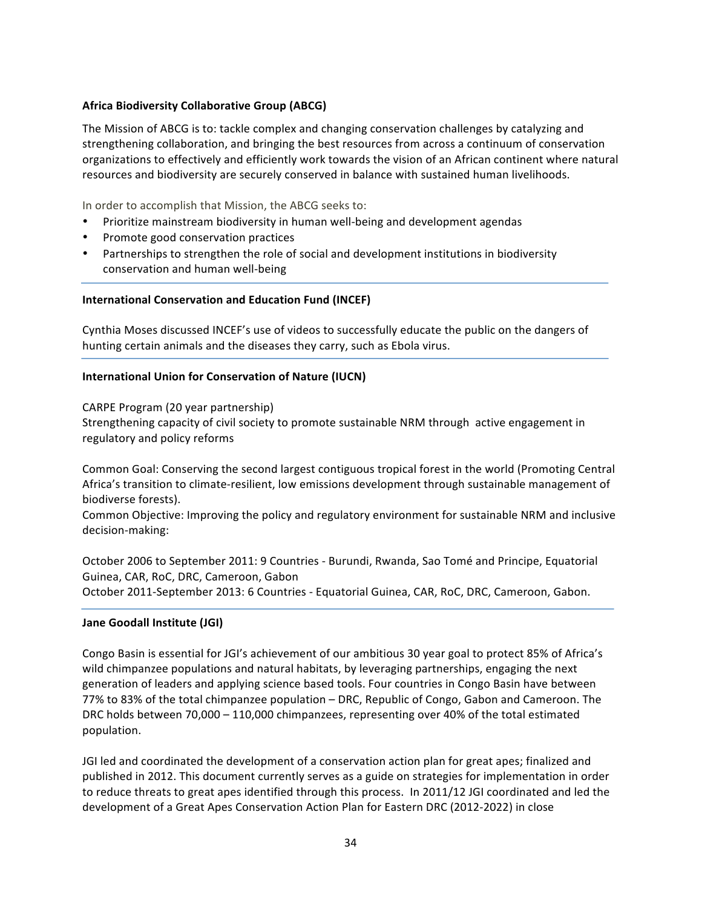# **Africa Biodiversity Collaborative Group (ABCG)**

The Mission of ABCG is to: tackle complex and changing conservation challenges by catalyzing and strengthening collaboration, and bringing the best resources from across a continuum of conservation organizations to effectively and efficiently work towards the vision of an African continent where natural resources and biodiversity are securely conserved in balance with sustained human livelihoods.

In order to accomplish that Mission, the ABCG seeks to:

- Prioritize mainstream biodiversity in human well-being and development agendas
- Promote good conservation practices
- Partnerships to strengthen the role of social and development institutions in biodiversity conservation and human well-being

# **International Conservation and Education Fund (INCEF)**

Cynthia Moses discussed INCEF's use of videos to successfully educate the public on the dangers of hunting certain animals and the diseases they carry, such as Ebola virus.

## **International Union for Conservation of Nature (IUCN)**

CARPE Program (20 year partnership)

Strengthening capacity of civil society to promote sustainable NRM through active engagement in regulatory and policy reforms

Common Goal: Conserving the second largest contiguous tropical forest in the world (Promoting Central Africa's transition to climate-resilient, low emissions development through sustainable management of biodiverse forests).

Common Objective: Improving the policy and regulatory environment for sustainable NRM and inclusive decision-making:

October 2006 to September 2011: 9 Countries - Burundi, Rwanda, Sao Tomé and Principe, Equatorial Guinea, CAR, RoC, DRC, Cameroon, Gabon October 2011-September 2013: 6 Countries - Equatorial Guinea, CAR, RoC, DRC, Cameroon, Gabon.

# **Jane Goodall Institute (JGI)**

Congo Basin is essential for JGI's achievement of our ambitious 30 year goal to protect 85% of Africa's wild chimpanzee populations and natural habitats, by leveraging partnerships, engaging the next generation of leaders and applying science based tools. Four countries in Congo Basin have between 77% to 83% of the total chimpanzee population - DRC, Republic of Congo, Gabon and Cameroon. The DRC holds between 70,000 - 110,000 chimpanzees, representing over 40% of the total estimated population.

JGI led and coordinated the development of a conservation action plan for great apes; finalized and published in 2012. This document currently serves as a guide on strategies for implementation in order to reduce threats to great apes identified through this process. In 2011/12 JGI coordinated and led the development of a Great Apes Conservation Action Plan for Eastern DRC (2012-2022) in close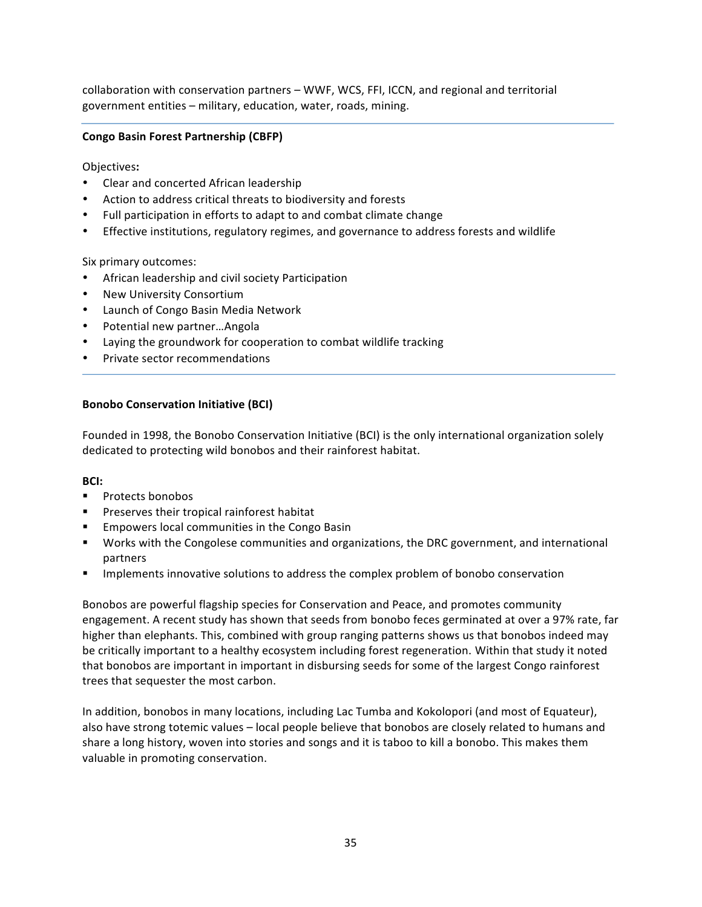collaboration with conservation partners – WWF, WCS, FFI, ICCN, and regional and territorial government entities - military, education, water, roads, mining.

# **Congo Basin Forest Partnership (CBFP)**

Objectives**:**

- Clear and concerted African leadership
- Action to address critical threats to biodiversity and forests
- Full participation in efforts to adapt to and combat climate change
- Effective institutions, regulatory regimes, and governance to address forests and wildlife

Six primary outcomes:

- African leadership and civil society Participation
- New University Consortium
- Launch of Congo Basin Media Network
- Potential new partner...Angola
- Laying the groundwork for cooperation to combat wildlife tracking
- Private sector recommendations

# **Bonobo Conservation Initiative (BCI)**

Founded in 1998, the Bonobo Conservation Initiative (BCI) is the only international organization solely dedicated to protecting wild bonobos and their rainforest habitat.

# **BCI:**

- § Protects bonobos
- Preserves their tropical rainforest habitat
- Empowers local communities in the Congo Basin
- Works with the Congolese communities and organizations, the DRC government, and international partners
- Implements innovative solutions to address the complex problem of bonobo conservation

Bonobos are powerful flagship species for Conservation and Peace, and promotes community engagement. A recent study has shown that seeds from bonobo feces germinated at over a 97% rate, far higher than elephants. This, combined with group ranging patterns shows us that bonobos indeed may be critically important to a healthy ecosystem including forest regeneration. Within that study it noted that bonobos are important in important in disbursing seeds for some of the largest Congo rainforest trees that sequester the most carbon.

In addition, bonobos in many locations, including Lac Tumba and Kokolopori (and most of Equateur), also have strong totemic values – local people believe that bonobos are closely related to humans and share a long history, woven into stories and songs and it is taboo to kill a bonobo. This makes them valuable in promoting conservation.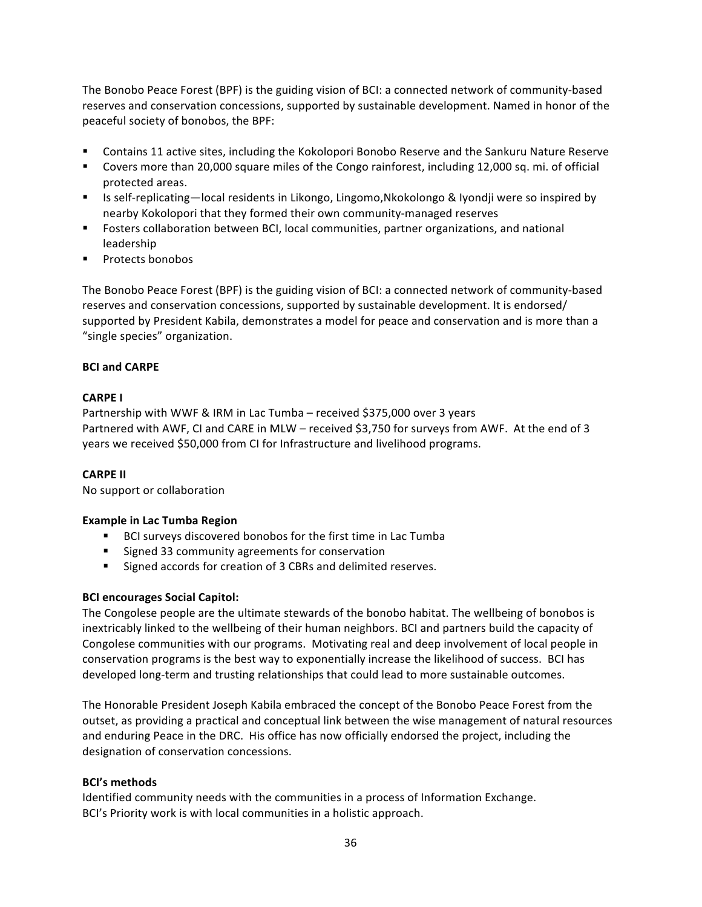The Bonobo Peace Forest (BPF) is the guiding vision of BCI: a connected network of community-based reserves and conservation concessions, supported by sustainable development. Named in honor of the peaceful society of bonobos, the BPF:

- Contains 11 active sites, including the Kokolopori Bonobo Reserve and the Sankuru Nature Reserve
- Covers more than 20,000 square miles of the Congo rainforest, including 12,000 sq. mi. of official protected areas.
- Is self-replicating—local residents in Likongo, Lingomo,Nkokolongo & Iyondji were so inspired by nearby Kokolopori that they formed their own community-managed reserves
- Fosters collaboration between BCI, local communities, partner organizations, and national leadership
- § Protects bonobos

The Bonobo Peace Forest (BPF) is the guiding vision of BCI: a connected network of community-based reserves and conservation concessions, supported by sustainable development. It is endorsed/ supported by President Kabila, demonstrates a model for peace and conservation and is more than a "single species" organization.

# **BCI** and **CARPE**

# **CARPE I**

Partnership with WWF & IRM in Lac Tumba – received \$375,000 over 3 years Partnered with AWF, CI and CARE in MLW – received \$3,750 for surveys from AWF. At the end of 3 years we received \$50,000 from CI for Infrastructure and livelihood programs.

# **CARPE II**

No support or collaboration

# **Example in Lac Tumba Region**

- BCI surveys discovered bonobos for the first time in Lac Tumba
- Signed 33 community agreements for conservation
- Signed accords for creation of 3 CBRs and delimited reserves.

# **BCI encourages Social Capitol:**

The Congolese people are the ultimate stewards of the bonobo habitat. The wellbeing of bonobos is inextricably linked to the wellbeing of their human neighbors. BCI and partners build the capacity of Congolese communities with our programs. Motivating real and deep involvement of local people in conservation programs is the best way to exponentially increase the likelihood of success. BCI has developed long-term and trusting relationships that could lead to more sustainable outcomes.

The Honorable President Joseph Kabila embraced the concept of the Bonobo Peace Forest from the outset, as providing a practical and conceptual link between the wise management of natural resources and enduring Peace in the DRC. His office has now officially endorsed the project, including the designation of conservation concessions.

# **BCI's methods**

Identified community needs with the communities in a process of Information Exchange. BCI's Priority work is with local communities in a holistic approach.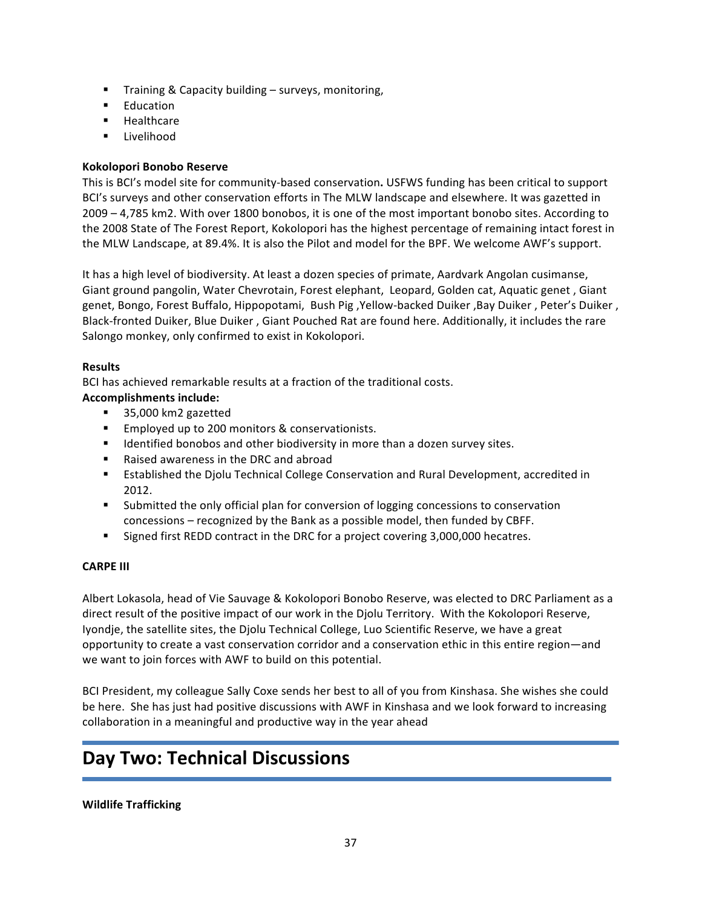- Training & Capacity building surveys, monitoring,
- Education
- § Healthcare
- § Livelihood

# **Kokolopori Bonobo Reserve**

This is BCI's model site for community-based conservation. USFWS funding has been critical to support BCI's surveys and other conservation efforts in The MLW landscape and elsewhere. It was gazetted in 2009 - 4,785 km2. With over 1800 bonobos, it is one of the most important bonobo sites. According to the 2008 State of The Forest Report, Kokolopori has the highest percentage of remaining intact forest in the MLW Landscape, at 89.4%. It is also the Pilot and model for the BPF. We welcome AWF's support.

It has a high level of biodiversity. At least a dozen species of primate, Aardvark Angolan cusimanse, Giant ground pangolin, Water Chevrotain, Forest elephant, Leopard, Golden cat, Aquatic genet, Giant genet, Bongo, Forest Buffalo, Hippopotami, Bush Pig, Yellow-backed Duiker, Bay Duiker, Peter's Duiker, Black-fronted Duiker, Blue Duiker, Giant Pouched Rat are found here. Additionally, it includes the rare Salongo monkey, only confirmed to exist in Kokolopori.

# **Results**

BCI has achieved remarkable results at a fraction of the traditional costs.

# **Accomplishments include:**

- 35,000 km2 gazetted
- Employed up to 200 monitors & conservationists.
- Identified bonobos and other biodiversity in more than a dozen survey sites.
- Raised awareness in the DRC and abroad
- Established the Diolu Technical College Conservation and Rural Development, accredited in 2012.
- Submitted the only official plan for conversion of logging concessions to conservation concessions – recognized by the Bank as a possible model, then funded by CBFF.
- **Signed first REDD contract in the DRC for a project covering 3,000,000 hecatres.**

# **CARPE III**

Albert Lokasola, head of Vie Sauvage & Kokolopori Bonobo Reserve, was elected to DRC Parliament as a direct result of the positive impact of our work in the Djolu Territory. With the Kokolopori Reserve, Iyondje, the satellite sites, the Djolu Technical College, Luo Scientific Reserve, we have a great opportunity to create a vast conservation corridor and a conservation ethic in this entire region—and we want to join forces with AWF to build on this potential.

BCI President, my colleague Sally Coxe sends her best to all of you from Kinshasa. She wishes she could be here. She has just had positive discussions with AWF in Kinshasa and we look forward to increasing collaboration in a meaningful and productive way in the year ahead

# **Day Two: Technical Discussions**

#### **Wildlife Trafficking**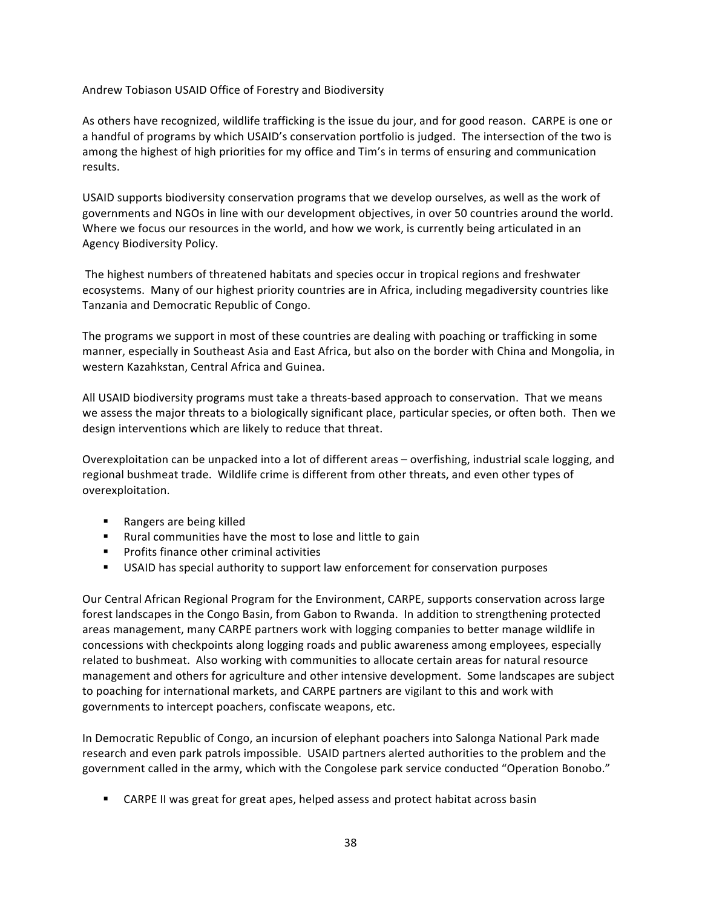Andrew Tobiason USAID Office of Forestry and Biodiversity

As others have recognized, wildlife trafficking is the issue du jour, and for good reason. CARPE is one or a handful of programs by which USAID's conservation portfolio is judged. The intersection of the two is among the highest of high priorities for my office and Tim's in terms of ensuring and communication results.

USAID supports biodiversity conservation programs that we develop ourselves, as well as the work of governments and NGOs in line with our development objectives, in over 50 countries around the world. Where we focus our resources in the world, and how we work, is currently being articulated in an Agency Biodiversity Policy. 

The highest numbers of threatened habitats and species occur in tropical regions and freshwater ecosystems. Many of our highest priority countries are in Africa, including megadiversity countries like Tanzania and Democratic Republic of Congo.

The programs we support in most of these countries are dealing with poaching or trafficking in some manner, especially in Southeast Asia and East Africa, but also on the border with China and Mongolia, in western Kazahkstan, Central Africa and Guinea.

All USAID biodiversity programs must take a threats-based approach to conservation. That we means we assess the major threats to a biologically significant place, particular species, or often both. Then we design interventions which are likely to reduce that threat.

Overexploitation can be unpacked into a lot of different areas – overfishing, industrial scale logging, and regional bushmeat trade. Wildlife crime is different from other threats, and even other types of overexploitation. 

- Rangers are being killed
- Rural communities have the most to lose and little to gain
- Profits finance other criminal activities
- **■** USAID has special authority to support law enforcement for conservation purposes

Our Central African Regional Program for the Environment, CARPE, supports conservation across large forest landscapes in the Congo Basin, from Gabon to Rwanda. In addition to strengthening protected areas management, many CARPE partners work with logging companies to better manage wildlife in concessions with checkpoints along logging roads and public awareness among employees, especially related to bushmeat. Also working with communities to allocate certain areas for natural resource management and others for agriculture and other intensive development. Some landscapes are subject to poaching for international markets, and CARPE partners are vigilant to this and work with governments to intercept poachers, confiscate weapons, etc.

In Democratic Republic of Congo, an incursion of elephant poachers into Salonga National Park made research and even park patrols impossible. USAID partners alerted authorities to the problem and the government called in the army, which with the Congolese park service conducted "Operation Bonobo."

■ CARPE II was great for great apes, helped assess and protect habitat across basin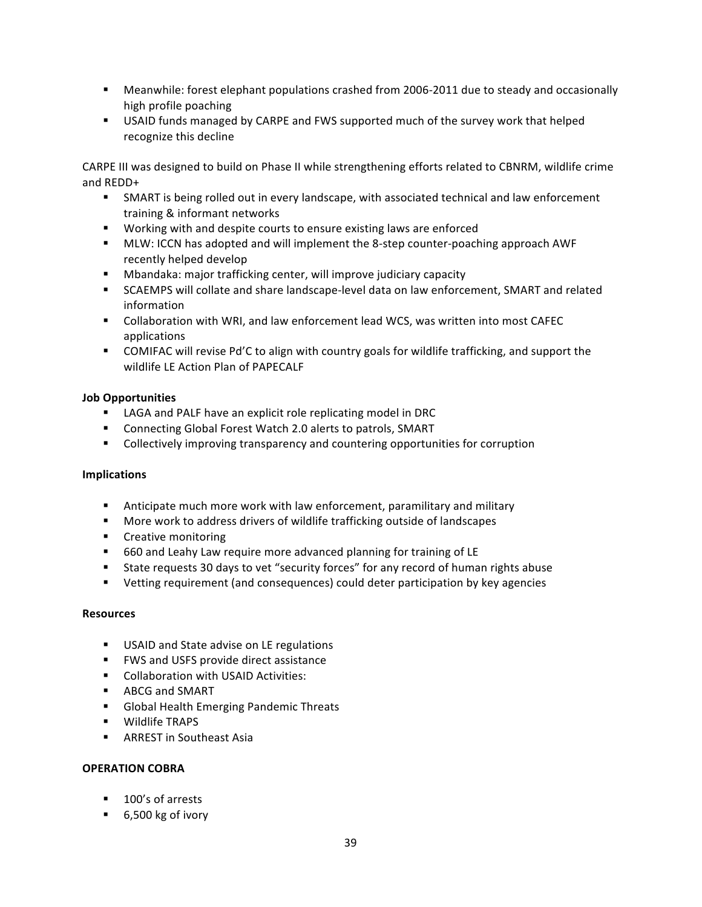- **EXECO MEAN MEAN MEAN EXAMORED EXAMORED EXAMORED FORM THEORY CONCOLLY** Meanwhile: forest elephant populations crasionally high profile poaching
- USAID funds managed by CARPE and FWS supported much of the survey work that helped recognize this decline

CARPE III was designed to build on Phase II while strengthening efforts related to CBNRM, wildlife crime and REDD+

- **SMART** is being rolled out in every landscape, with associated technical and law enforcement training & informant networks
- Working with and despite courts to ensure existing laws are enforced
- **EXECUM:** ICCN has adopted and will implement the 8-step counter-poaching approach AWF recently helped develop
- Mbandaka: major trafficking center, will improve judiciary capacity
- SCAEMPS will collate and share landscape-level data on law enforcement, SMART and related information
- Collaboration with WRI, and law enforcement lead WCS, was written into most CAFEC applications
- **•** COMIFAC will revise Pd'C to align with country goals for wildlife trafficking, and support the wildlife LE Action Plan of PAPECALF

# **Job Opportunities**

- LAGA and PALF have an explicit role replicating model in DRC
- Connecting Global Forest Watch 2.0 alerts to patrols, SMART
- **•** Collectively improving transparency and countering opportunities for corruption

# **Implications**

- **EXTED Anticipate much more work with law enforcement, paramilitary and military**
- More work to address drivers of wildlife trafficking outside of landscapes
- Creative monitoring
- 660 and Leahy Law require more advanced planning for training of LE
- State requests 30 days to vet "security forces" for any record of human rights abuse
- Vetting requirement (and consequences) could deter participation by key agencies

# **Resources**

- USAID and State advise on LE regulations
- FWS and USFS provide direct assistance
- Collaboration with USAID Activities:
- ABCG and SMART
- Global Health Emerging Pandemic Threats
- **■** Wildlife TRAPS
- **■** ARREST in Southeast Asia

# **OPERATION COBRA**

- 100's of arrests
- $\blacksquare$  6,500 kg of ivory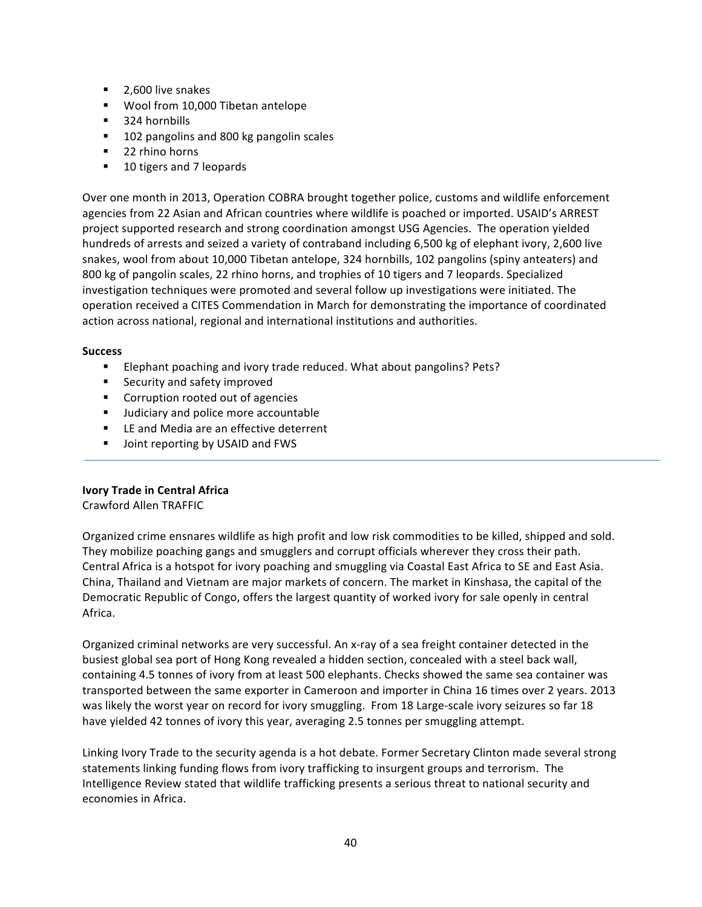- 2,600 live snakes
- Wool from 10,000 Tibetan antelope
- 324 hornbills
- 102 pangolins and 800 kg pangolin scales
- 22 rhino horns
- 10 tigers and 7 leopards

Over one month in 2013, Operation COBRA brought together police, customs and wildlife enforcement agencies from 22 Asian and African countries where wildlife is poached or imported. USAID's ARREST project supported research and strong coordination amongst USG Agencies. The operation yielded hundreds of arrests and seized a variety of contraband including 6,500 kg of elephant ivory, 2,600 live snakes, wool from about 10,000 Tibetan antelope, 324 hornbills, 102 pangolins (spiny anteaters) and 800 kg of pangolin scales, 22 rhino horns, and trophies of 10 tigers and 7 leopards. Specialized investigation techniques were promoted and several follow up investigations were initiated. The operation received a CITES Commendation in March for demonstrating the importance of coordinated action across national, regional and international institutions and authorities.

## **Success**

- Elephant poaching and ivory trade reduced. What about pangolins? Pets?
- Security and safety improved
- Corruption rooted out of agencies
- Judiciary and police more accountable
- LE and Media are an effective deterrent
- Joint reporting by USAID and FWS

# **Ivory Trade in Central Africa**

Crawford Allen TRAFFIC

Organized crime ensnares wildlife as high profit and low risk commodities to be killed, shipped and sold. They mobilize poaching gangs and smugglers and corrupt officials wherever they cross their path. Central Africa is a hotspot for ivory poaching and smuggling via Coastal East Africa to SE and East Asia. China, Thailand and Vietnam are major markets of concern. The market in Kinshasa, the capital of the Democratic Republic of Congo, offers the largest quantity of worked ivory for sale openly in central Africa. 

Organized criminal networks are very successful. An x-ray of a sea freight container detected in the busiest global sea port of Hong Kong revealed a hidden section, concealed with a steel back wall, containing 4.5 tonnes of ivory from at least 500 elephants. Checks showed the same sea container was transported between the same exporter in Cameroon and importer in China 16 times over 2 years. 2013 was likely the worst year on record for ivory smuggling. From 18 Large-scale ivory seizures so far 18 have yielded 42 tonnes of ivory this year, averaging 2.5 tonnes per smuggling attempt.

Linking Ivory Trade to the security agenda is a hot debate. Former Secretary Clinton made several strong statements linking funding flows from ivory trafficking to insurgent groups and terrorism. The Intelligence Review stated that wildlife trafficking presents a serious threat to national security and economies in Africa.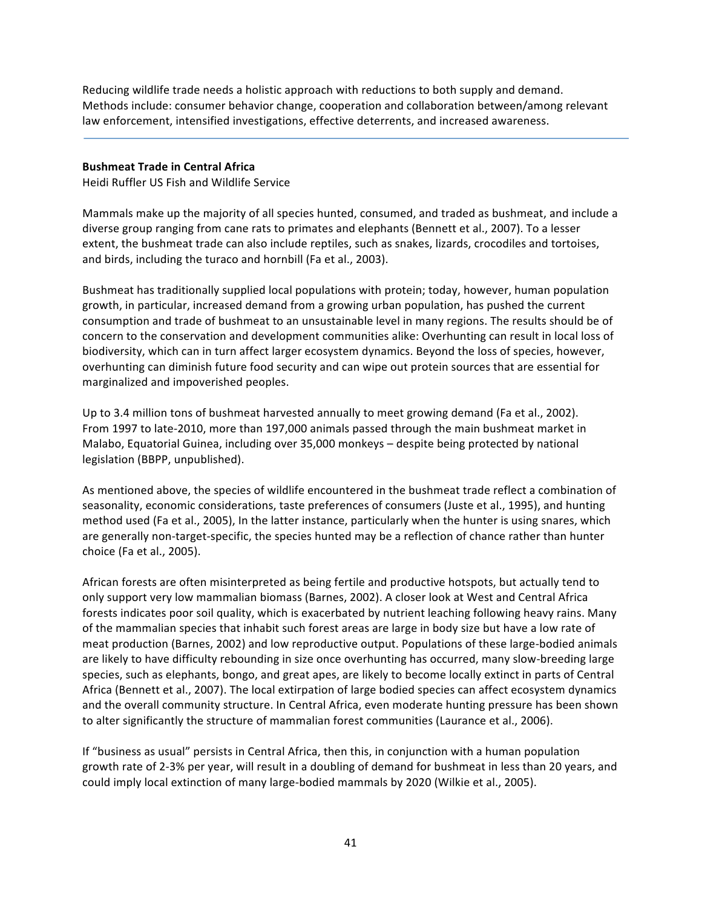Reducing wildlife trade needs a holistic approach with reductions to both supply and demand. Methods include: consumer behavior change, cooperation and collaboration between/among relevant law enforcement, intensified investigations, effective deterrents, and increased awareness.

## **Bushmeat Trade in Central Africa**

Heidi Ruffler US Fish and Wildlife Service

Mammals make up the majority of all species hunted, consumed, and traded as bushmeat, and include a diverse group ranging from cane rats to primates and elephants (Bennett et al., 2007). To a lesser extent, the bushmeat trade can also include reptiles, such as snakes, lizards, crocodiles and tortoises, and birds, including the turaco and hornbill (Fa et al., 2003).

Bushmeat has traditionally supplied local populations with protein; today, however, human population growth, in particular, increased demand from a growing urban population, has pushed the current consumption and trade of bushmeat to an unsustainable level in many regions. The results should be of concern to the conservation and development communities alike: Overhunting can result in local loss of biodiversity, which can in turn affect larger ecosystem dynamics. Beyond the loss of species, however, overhunting can diminish future food security and can wipe out protein sources that are essential for marginalized and impoverished peoples.

Up to 3.4 million tons of bushmeat harvested annually to meet growing demand (Fa et al., 2002). From 1997 to late-2010, more than 197,000 animals passed through the main bushmeat market in Malabo, Equatorial Guinea, including over 35,000 monkeys – despite being protected by national legislation (BBPP, unpublished).

As mentioned above, the species of wildlife encountered in the bushmeat trade reflect a combination of seasonality, economic considerations, taste preferences of consumers (Juste et al., 1995), and hunting method used (Fa et al., 2005), In the latter instance, particularly when the hunter is using snares, which are generally non-target-specific, the species hunted may be a reflection of chance rather than hunter choice (Fa et al., 2005).

African forests are often misinterpreted as being fertile and productive hotspots, but actually tend to only support very low mammalian biomass (Barnes, 2002). A closer look at West and Central Africa forests indicates poor soil quality, which is exacerbated by nutrient leaching following heavy rains. Many of the mammalian species that inhabit such forest areas are large in body size but have a low rate of meat production (Barnes, 2002) and low reproductive output. Populations of these large-bodied animals are likely to have difficulty rebounding in size once overhunting has occurred, many slow-breeding large species, such as elephants, bongo, and great apes, are likely to become locally extinct in parts of Central Africa (Bennett et al., 2007). The local extirpation of large bodied species can affect ecosystem dynamics and the overall community structure. In Central Africa, even moderate hunting pressure has been shown to alter significantly the structure of mammalian forest communities (Laurance et al., 2006).

If "business as usual" persists in Central Africa, then this, in conjunction with a human population growth rate of 2-3% per year, will result in a doubling of demand for bushmeat in less than 20 years, and could imply local extinction of many large-bodied mammals by 2020 (Wilkie et al., 2005).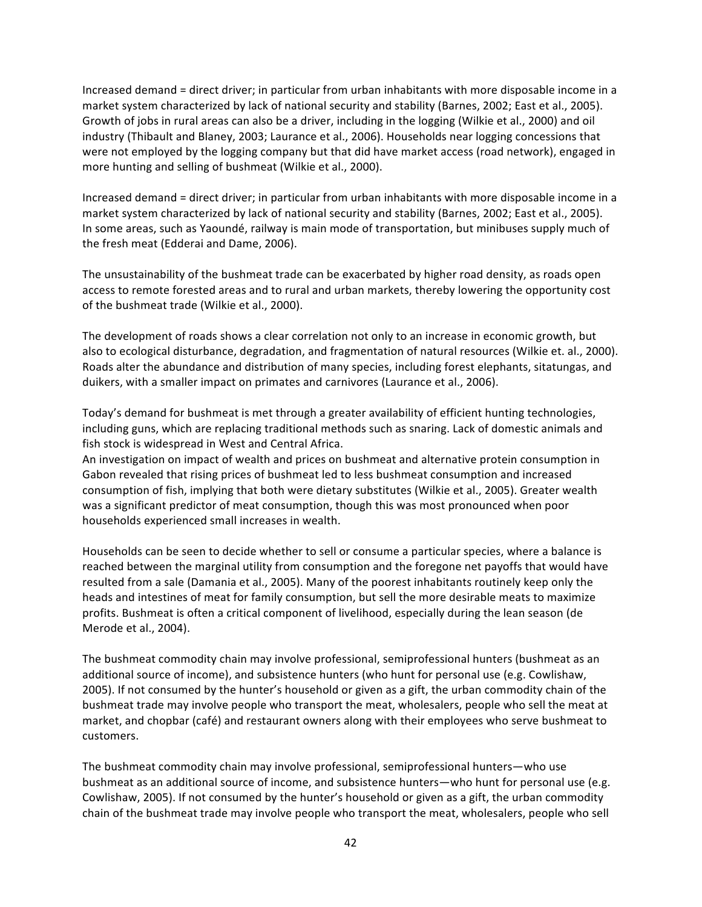Increased demand = direct driver; in particular from urban inhabitants with more disposable income in a market system characterized by lack of national security and stability (Barnes, 2002; East et al., 2005). Growth of jobs in rural areas can also be a driver, including in the logging (Wilkie et al., 2000) and oil industry (Thibault and Blaney, 2003; Laurance et al., 2006). Households near logging concessions that were not employed by the logging company but that did have market access (road network), engaged in more hunting and selling of bushmeat (Wilkie et al., 2000).

Increased demand = direct driver; in particular from urban inhabitants with more disposable income in a market system characterized by lack of national security and stability (Barnes, 2002; East et al., 2005). In some areas, such as Yaoundé, railway is main mode of transportation, but minibuses supply much of the fresh meat (Edderai and Dame, 2006).

The unsustainability of the bushmeat trade can be exacerbated by higher road density, as roads open access to remote forested areas and to rural and urban markets, thereby lowering the opportunity cost of the bushmeat trade (Wilkie et al., 2000).

The development of roads shows a clear correlation not only to an increase in economic growth, but also to ecological disturbance, degradation, and fragmentation of natural resources (Wilkie et. al., 2000). Roads alter the abundance and distribution of many species, including forest elephants, sitatungas, and duikers, with a smaller impact on primates and carnivores (Laurance et al., 2006).

Today's demand for bushmeat is met through a greater availability of efficient hunting technologies, including guns, which are replacing traditional methods such as snaring. Lack of domestic animals and fish stock is widespread in West and Central Africa.

An investigation on impact of wealth and prices on bushmeat and alternative protein consumption in Gabon revealed that rising prices of bushmeat led to less bushmeat consumption and increased consumption of fish, implying that both were dietary substitutes (Wilkie et al., 2005). Greater wealth was a significant predictor of meat consumption, though this was most pronounced when poor households experienced small increases in wealth.

Households can be seen to decide whether to sell or consume a particular species, where a balance is reached between the marginal utility from consumption and the foregone net payoffs that would have resulted from a sale (Damania et al., 2005). Many of the poorest inhabitants routinely keep only the heads and intestines of meat for family consumption, but sell the more desirable meats to maximize profits. Bushmeat is often a critical component of livelihood, especially during the lean season (de Merode et al., 2004).

The bushmeat commodity chain may involve professional, semiprofessional hunters (bushmeat as an additional source of income), and subsistence hunters (who hunt for personal use (e.g. Cowlishaw, 2005). If not consumed by the hunter's household or given as a gift, the urban commodity chain of the bushmeat trade may involve people who transport the meat, wholesalers, people who sell the meat at market, and chopbar (café) and restaurant owners along with their employees who serve bushmeat to customers.

The bushmeat commodity chain may involve professional, semiprofessional hunters—who use bushmeat as an additional source of income, and subsistence hunters—who hunt for personal use (e.g. Cowlishaw, 2005). If not consumed by the hunter's household or given as a gift, the urban commodity chain of the bushmeat trade may involve people who transport the meat, wholesalers, people who sell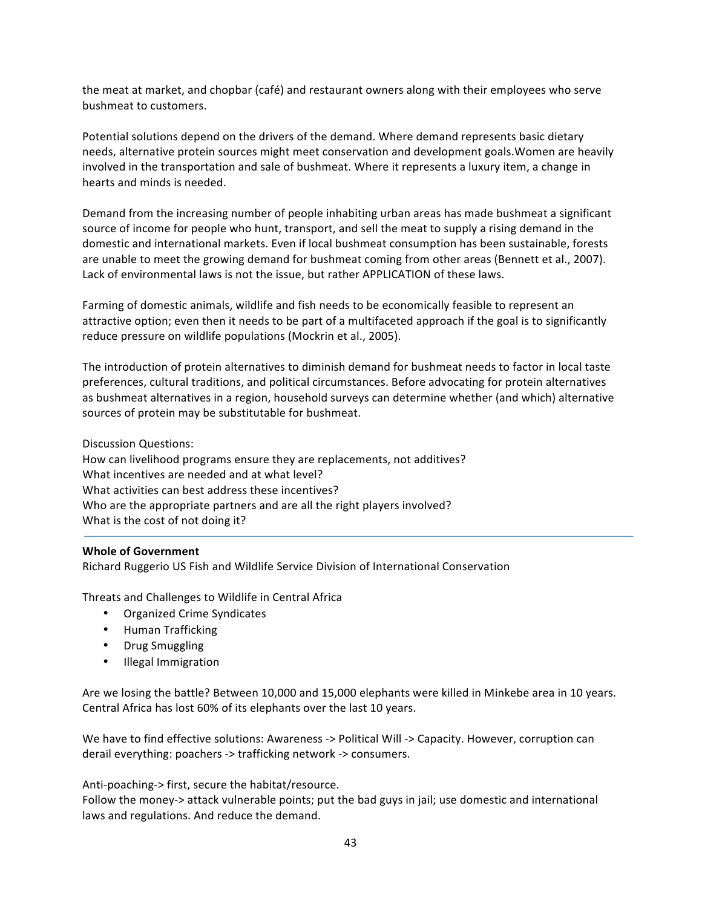the meat at market, and chopbar (café) and restaurant owners along with their employees who serve bushmeat to customers.

Potential solutions depend on the drivers of the demand. Where demand represents basic dietary needs, alternative protein sources might meet conservation and development goals. Women are heavily involved in the transportation and sale of bushmeat. Where it represents a luxury item, a change in hearts and minds is needed.

Demand from the increasing number of people inhabiting urban areas has made bushmeat a significant source of income for people who hunt, transport, and sell the meat to supply a rising demand in the domestic and international markets. Even if local bushmeat consumption has been sustainable, forests are unable to meet the growing demand for bushmeat coming from other areas (Bennett et al., 2007). Lack of environmental laws is not the issue, but rather APPLICATION of these laws.

Farming of domestic animals, wildlife and fish needs to be economically feasible to represent an attractive option; even then it needs to be part of a multifaceted approach if the goal is to significantly reduce pressure on wildlife populations (Mockrin et al., 2005).

The introduction of protein alternatives to diminish demand for bushmeat needs to factor in local taste preferences, cultural traditions, and political circumstances. Before advocating for protein alternatives as bushmeat alternatives in a region, household surveys can determine whether (and which) alternative sources of protein may be substitutable for bushmeat.

Discussion Questions:

How can livelihood programs ensure they are replacements, not additives? What incentives are needed and at what level? What activities can best address these incentives? Who are the appropriate partners and are all the right players involved? What is the cost of not doing it?

# **Whole of Government**

Richard Ruggerio US Fish and Wildlife Service Division of International Conservation

Threats and Challenges to Wildlife in Central Africa

- Organized Crime Syndicates
- Human Trafficking
- Drug Smuggling
- Illegal Immigration

Are we losing the battle? Between 10,000 and 15,000 elephants were killed in Minkebe area in 10 years. Central Africa has lost 60% of its elephants over the last 10 years.

We have to find effective solutions: Awareness -> Political Will -> Capacity. However, corruption can derail everything: poachers -> trafficking network -> consumers.

Anti-poaching-> first, secure the habitat/resource.

Follow the money-> attack vulnerable points; put the bad guys in jail; use domestic and international laws and regulations. And reduce the demand.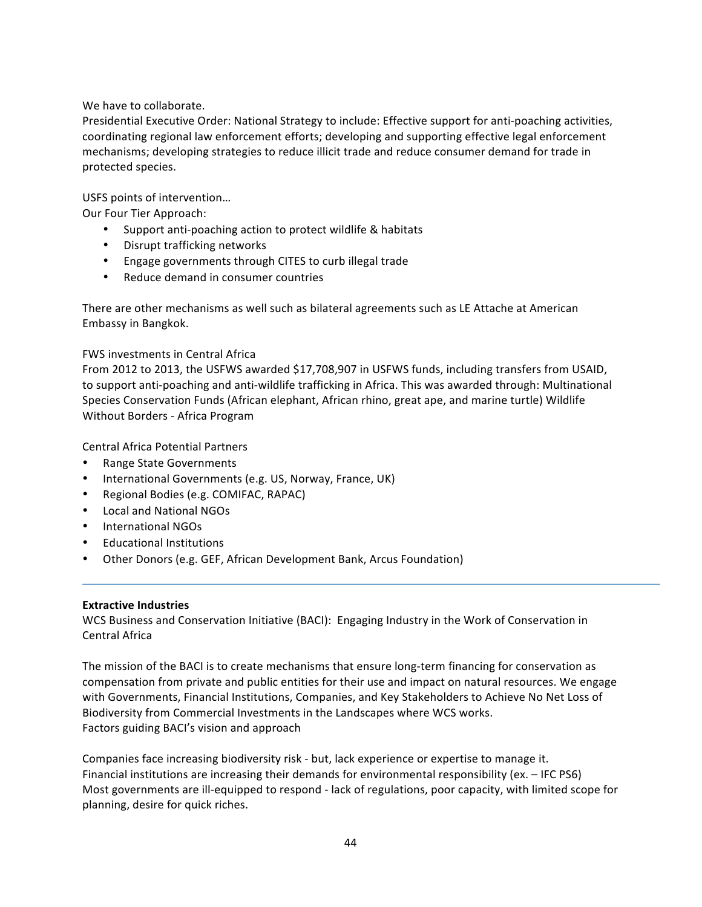# We have to collaborate.

Presidential Executive Order: National Strategy to include: Effective support for anti-poaching activities, coordinating regional law enforcement efforts; developing and supporting effective legal enforcement mechanisms; developing strategies to reduce illicit trade and reduce consumer demand for trade in protected species.

# USFS points of intervention...

Our Four Tier Approach:

- Support anti-poaching action to protect wildlife & habitats
- Disrupt trafficking networks
- Engage governments through CITES to curb illegal trade
- Reduce demand in consumer countries

There are other mechanisms as well such as bilateral agreements such as LE Attache at American Embassy in Bangkok.

# FWS investments in Central Africa

From 2012 to 2013, the USFWS awarded \$17,708,907 in USFWS funds, including transfers from USAID, to support anti-poaching and anti-wildlife trafficking in Africa. This was awarded through: Multinational Species Conservation Funds (African elephant, African rhino, great ape, and marine turtle) Wildlife Without Borders - Africa Program

Central Africa Potential Partners

- Range State Governments
- International Governments (e.g. US, Norway, France, UK)
- Regional Bodies (e.g. COMIFAC, RAPAC)
- Local and National NGOs
- International NGOs
- **Educational Institutions**
- Other Donors (e.g. GEF, African Development Bank, Arcus Foundation)

# **Extractive Industries**

WCS Business and Conservation Initiative (BACI): Engaging Industry in the Work of Conservation in Central Africa

The mission of the BACI is to create mechanisms that ensure long-term financing for conservation as compensation from private and public entities for their use and impact on natural resources. We engage with Governments, Financial Institutions, Companies, and Key Stakeholders to Achieve No Net Loss of Biodiversity from Commercial Investments in the Landscapes where WCS works. Factors guiding BACI's vision and approach

Companies face increasing biodiversity risk - but, lack experience or expertise to manage it. Financial institutions are increasing their demands for environmental responsibility (ex. - IFC PS6) Most governments are ill-equipped to respond - lack of regulations, poor capacity, with limited scope for planning, desire for quick riches.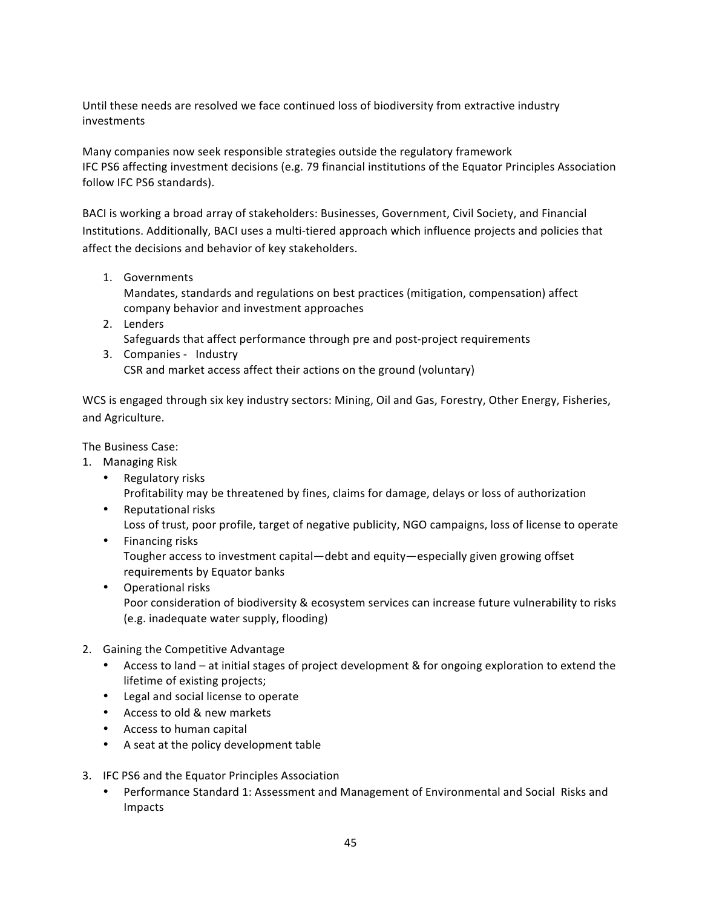Until these needs are resolved we face continued loss of biodiversity from extractive industry investments

Many companies now seek responsible strategies outside the regulatory framework IFC PS6 affecting investment decisions (e.g. 79 financial institutions of the Equator Principles Association follow IFC PS6 standards).

BACI is working a broad array of stakeholders: Businesses, Government, Civil Society, and Financial Institutions. Additionally, BACI uses a multi-tiered approach which influence projects and policies that affect the decisions and behavior of key stakeholders.

1. Governments

Mandates, standards and regulations on best practices (mitigation, compensation) affect company behavior and investment approaches

- 2. Lenders Safeguards that affect performance through pre and post-project requirements
- 3. Companies Industry CSR and market access affect their actions on the ground (voluntary)

WCS is engaged through six key industry sectors: Mining, Oil and Gas, Forestry, Other Energy, Fisheries, and Agriculture.

The Business Case:

- 1. Managing Risk
	- Regulatory risks Profitability may be threatened by fines, claims for damage, delays or loss of authorization
	- Reputational risks Loss of trust, poor profile, target of negative publicity, NGO campaigns, loss of license to operate
	- Financing risks Tougher access to investment capital—debt and equity—especially given growing offset requirements by Equator banks
	- Operational risks Poor consideration of biodiversity & ecosystem services can increase future vulnerability to risks (e.g. inadequate water supply, flooding)
- 2. Gaining the Competitive Advantage
	- Access to land at initial stages of project development & for ongoing exploration to extend the lifetime of existing projects;
	- Legal and social license to operate
	- Access to old & new markets
	- Access to human capital
	- A seat at the policy development table
- 3. IFC PS6 and the Equator Principles Association
	- Performance Standard 1: Assessment and Management of Environmental and Social Risks and Impacts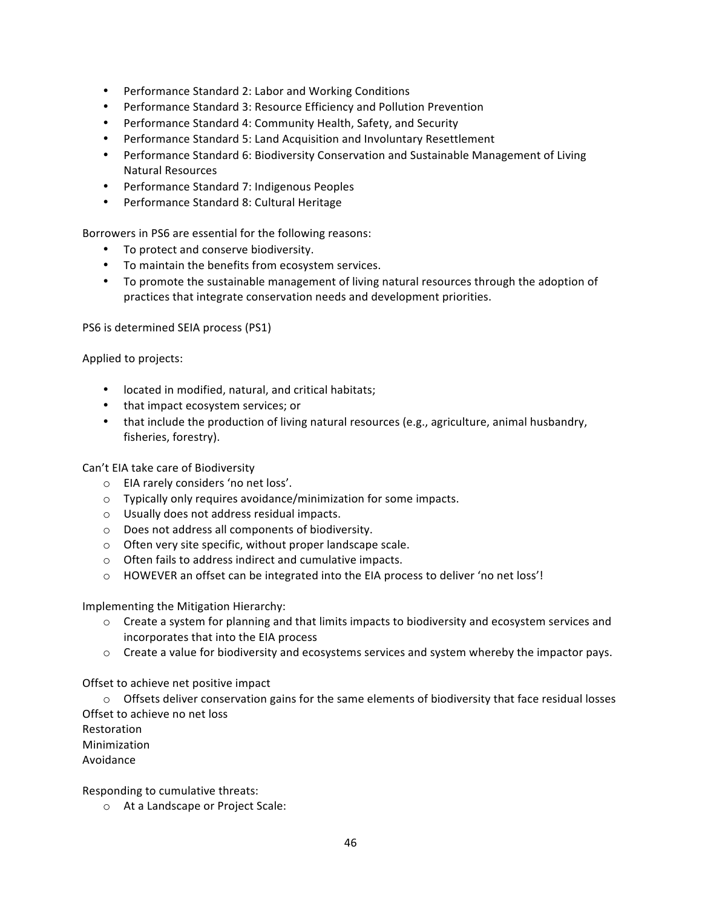- Performance Standard 2: Labor and Working Conditions
- Performance Standard 3: Resource Efficiency and Pollution Prevention
- Performance Standard 4: Community Health, Safety, and Security
- Performance Standard 5: Land Acquisition and Involuntary Resettlement
- Performance Standard 6: Biodiversity Conservation and Sustainable Management of Living **Natural Resources**
- Performance Standard 7: Indigenous Peoples
- Performance Standard 8: Cultural Heritage

Borrowers in PS6 are essential for the following reasons:

- To protect and conserve biodiversity.
- To maintain the benefits from ecosystem services.
- To promote the sustainable management of living natural resources through the adoption of practices that integrate conservation needs and development priorities.

PS6 is determined SEIA process (PS1)

Applied to projects:

- located in modified, natural, and critical habitats;
- that impact ecosystem services; or
- that include the production of living natural resources (e.g., agriculture, animal husbandry, fisheries, forestry).

Can't EIA take care of Biodiversity

- $\circ$  EIA rarely considers 'no net loss'.
- $\circ$  Typically only requires avoidance/minimization for some impacts.
- $\circ$  Usually does not address residual impacts.
- o Does not address all components of biodiversity.
- $\circ$  Often very site specific, without proper landscape scale.
- $\circ$  Often fails to address indirect and cumulative impacts.
- o HOWEVER an offset can be integrated into the EIA process to deliver 'no net loss'!

Implementing the Mitigation Hierarchy:

- $\circ$  Create a system for planning and that limits impacts to biodiversity and ecosystem services and incorporates that into the EIA process
- $\circ$  Create a value for biodiversity and ecosystems services and system whereby the impactor pays.

Offset to achieve net positive impact

 $\circ$  Offsets deliver conservation gains for the same elements of biodiversity that face residual losses Offset to achieve no net loss

Restoration

Minimization

Avoidance

Responding to cumulative threats:

o At a Landscape or Project Scale: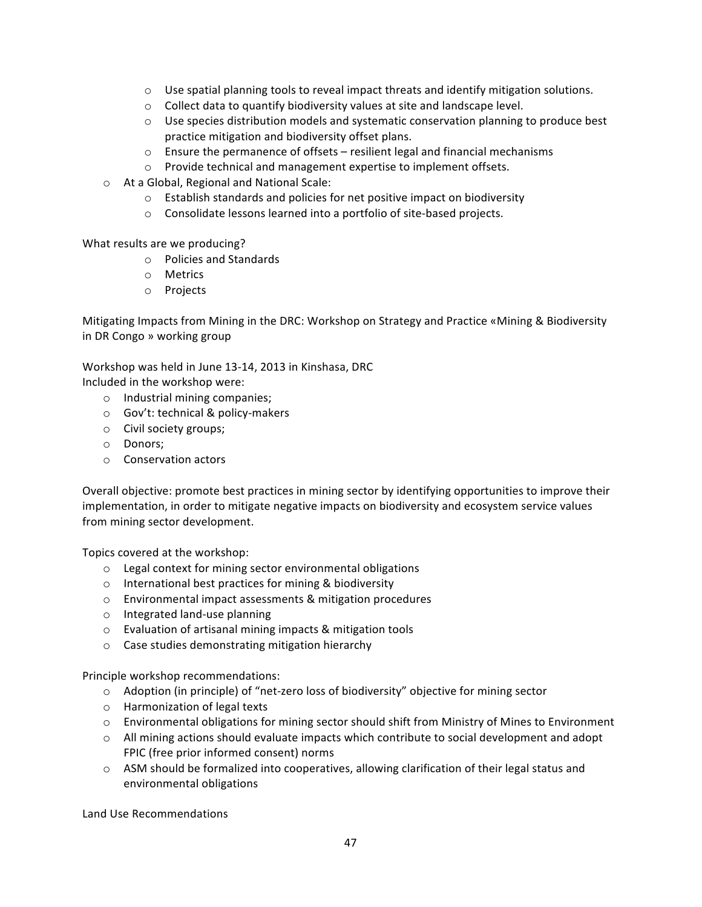- $\circ$  Use spatial planning tools to reveal impact threats and identify mitigation solutions.
- $\circ$  Collect data to quantify biodiversity values at site and landscape level.
- $\circ$  Use species distribution models and systematic conservation planning to produce best practice mitigation and biodiversity offset plans.
- $\circ$  Ensure the permanence of offsets resilient legal and financial mechanisms
- o Provide technical and management expertise to implement offsets.
- o At a Global, Regional and National Scale:
	- $\circ$  Establish standards and policies for net positive impact on biodiversity
	- o Consolidate lessons learned into a portfolio of site-based projects.

What results are we producing?

- o Policies and Standards
- o Metrics
- o Projects

Mitigating Impacts from Mining in the DRC: Workshop on Strategy and Practice «Mining & Biodiversity in DR Congo » working group

Workshop was held in June 13-14, 2013 in Kinshasa, DRC

Included in the workshop were:

- o Industrial mining companies;
- $\circ$  Gov't: technical & policy-makers
- o Civil society groups;
- o Donors;
- $\circ$  Conservation actors

Overall objective: promote best practices in mining sector by identifying opportunities to improve their implementation, in order to mitigate negative impacts on biodiversity and ecosystem service values from mining sector development.

Topics covered at the workshop:

- $\circ$  Legal context for mining sector environmental obligations
- $\circ$  International best practices for mining & biodiversity
- $o$  Environmental impact assessments & mitigation procedures
- o Integrated land-use planning
- $\circ$  Evaluation of artisanal mining impacts & mitigation tools
- $\circ$  Case studies demonstrating mitigation hierarchy

Principle workshop recommendations:

- $\circ$  Adoption (in principle) of "net-zero loss of biodiversity" objective for mining sector
- $\circ$  Harmonization of legal texts
- $\circ$  Environmental obligations for mining sector should shift from Ministry of Mines to Environment
- $\circ$  All mining actions should evaluate impacts which contribute to social development and adopt FPIC (free prior informed consent) norms
- $\circ$  ASM should be formalized into cooperatives, allowing clarification of their legal status and environmental obligations

Land Use Recommendations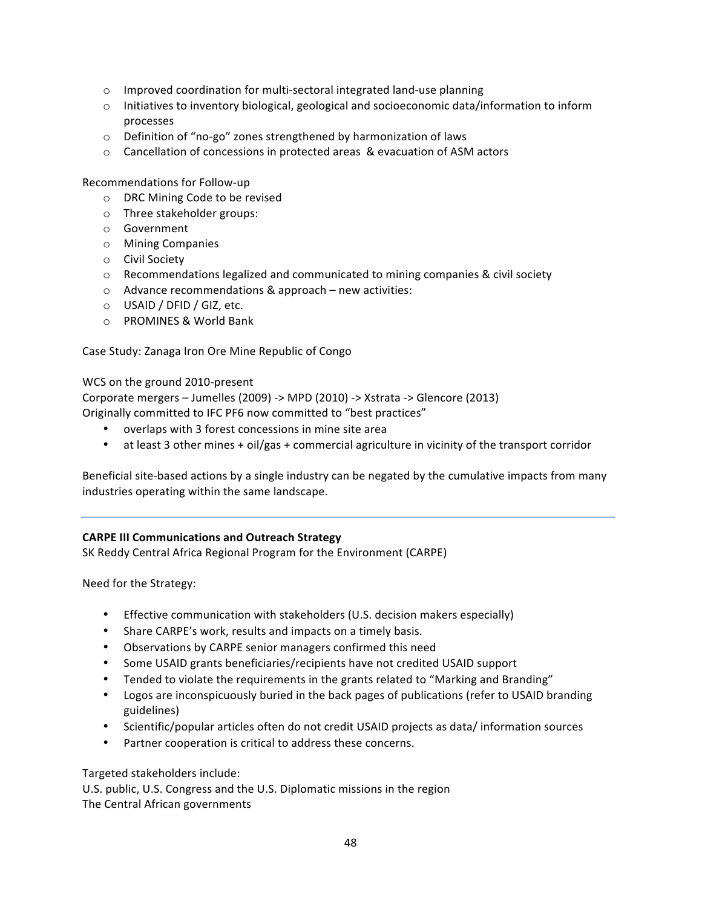- $\circ$  Improved coordination for multi-sectoral integrated land-use planning
- $\circ$  Initiatives to inventory biological, geological and socioeconomic data/information to inform processes
- $\circ$  Definition of "no-go" zones strengthened by harmonization of laws
- $\circ$  Cancellation of concessions in protected areas & evacuation of ASM actors

Recommendations for Follow-up

- o DRC Mining Code to be revised
- o Three stakeholder groups:
- o Government
- o Mining Companies
- o Civil Society
- $\circ$  Recommendations legalized and communicated to mining companies & civil society
- $\circ$  Advance recommendations & approach new activities:
- $\circ$  USAID / DFID / GIZ, etc.
- o PROMINES & World Bank

Case Study: Zanaga Iron Ore Mine Republic of Congo

WCS on the ground 2010-present

Corporate mergers - Jumelles (2009) -> MPD (2010) -> Xstrata -> Glencore (2013) Originally committed to IFC PF6 now committed to "best practices"

- overlaps with 3 forest concessions in mine site area
- at least 3 other mines + oil/gas + commercial agriculture in vicinity of the transport corridor

Beneficial site-based actions by a single industry can be negated by the cumulative impacts from many industries operating within the same landscape.

# **CARPE III Communications and Outreach Strategy**

SK Reddy Central Africa Regional Program for the Environment (CARPE)

Need for the Strategy:

- Effective communication with stakeholders (U.S. decision makers especially)
- Share CARPE's work, results and impacts on a timely basis.
- Observations by CARPE senior managers confirmed this need
- Some USAID grants beneficiaries/recipients have not credited USAID support
- Tended to violate the requirements in the grants related to "Marking and Branding"
- Logos are inconspicuously buried in the back pages of publications (refer to USAID branding guidelines)
- Scientific/popular articles often do not credit USAID projects as data/ information sources
- Partner cooperation is critical to address these concerns.

Targeted stakeholders include:

U.S. public, U.S. Congress and the U.S. Diplomatic missions in the region The Central African governments